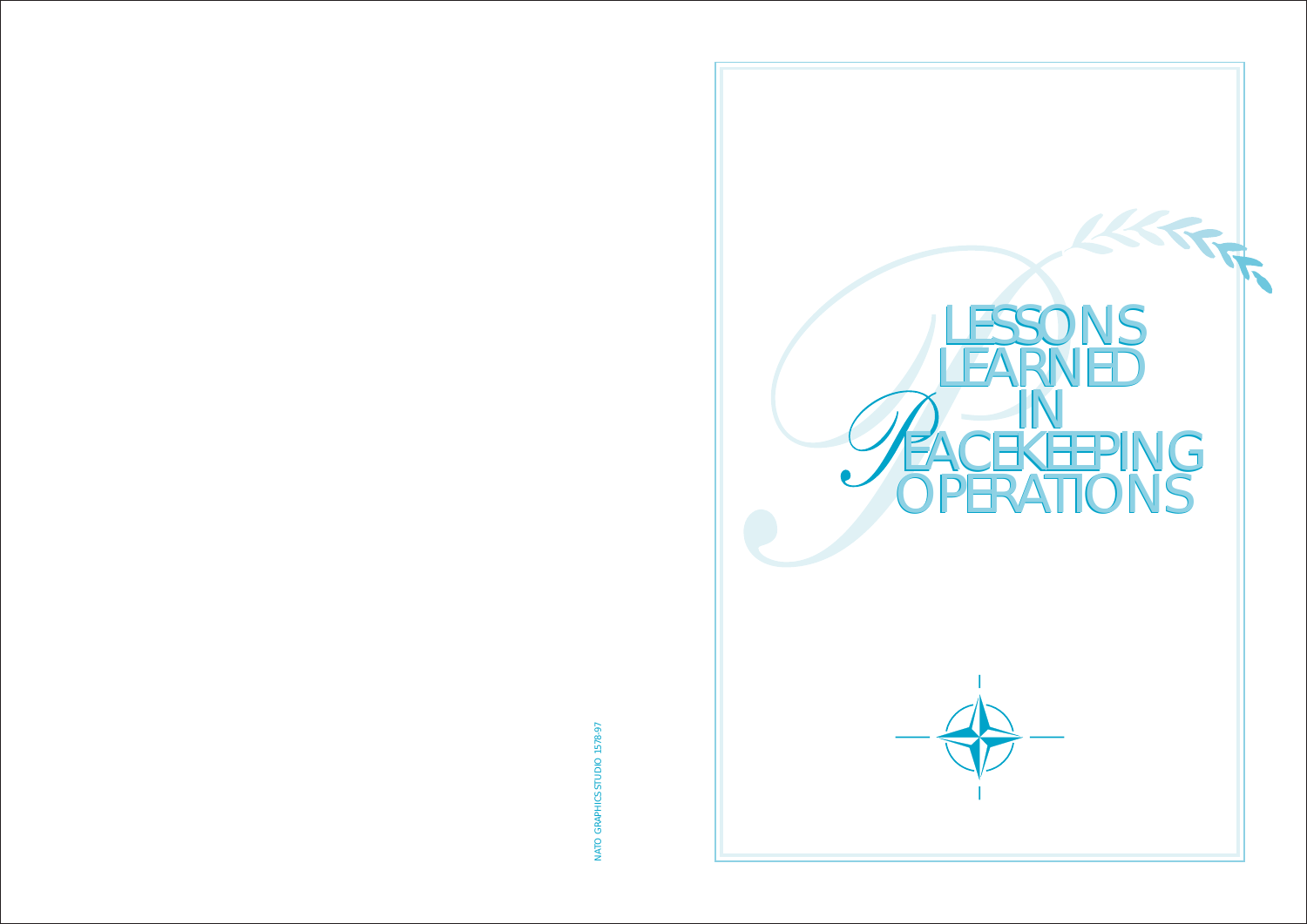

NATO GRAPHICS STUDIO 1578-97 NATO GRAPHICS STUDIO 1578-97

# **LESSONS** LEARNED IN **EACEKEEPING** OPERATIONS **LESSONS** LEARNED IN EACEKEEPING OPERATIONS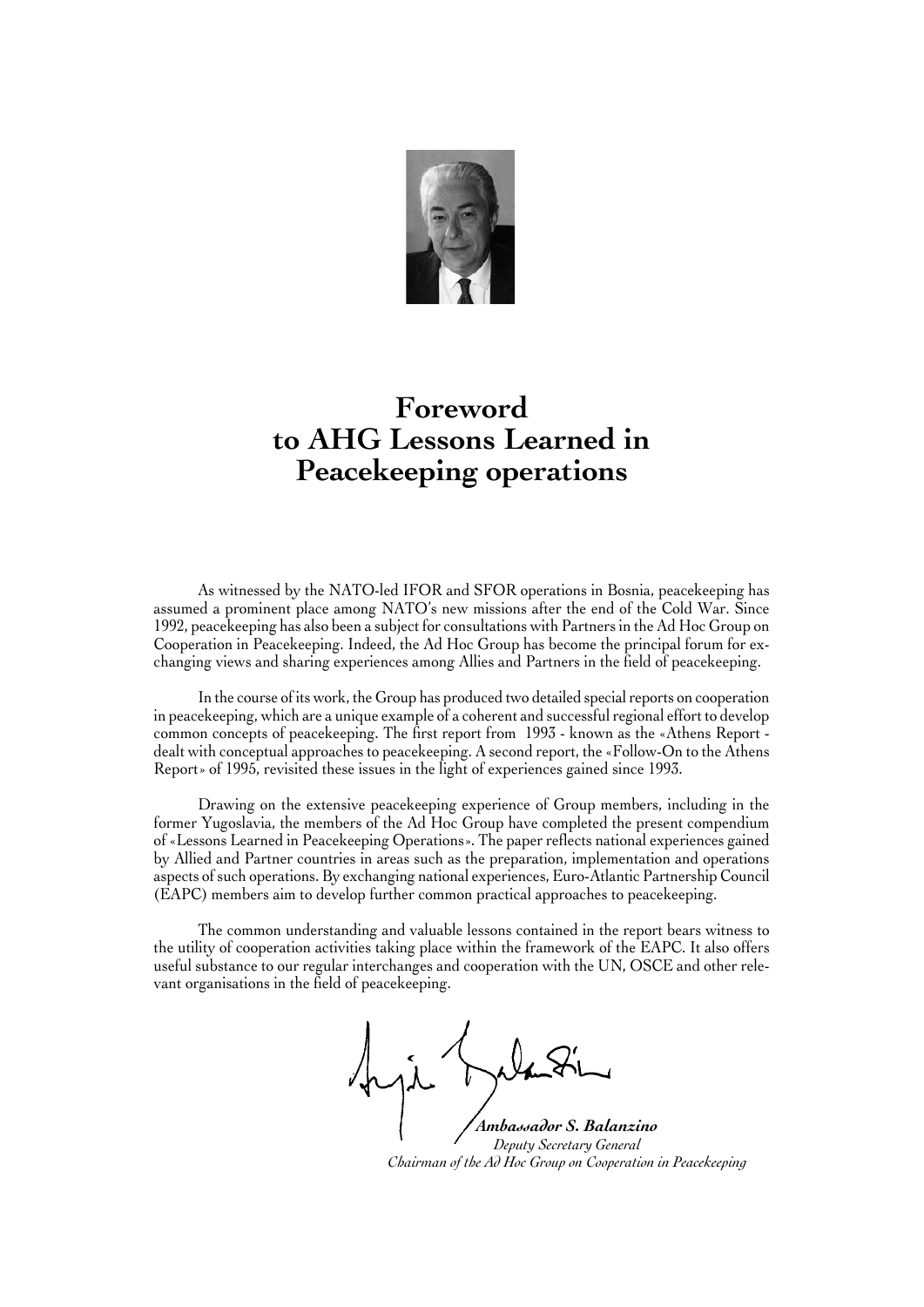

# **Foreword to AHG Lessons Learned in Peacekeeping operations**

As witnessed by the NATO-led IFOR and SFOR operations in Bosnia, peacekeeping has assumed a prominent place among NATO's new missions after the end of the Cold War. Since 1992, peacekeeping has also been a subject for consultations with Partners in the Ad Hoc Group on Cooperation in Peacekeeping. Indeed, the Ad Hoc Group has become the principal forum for exchanging views and sharing experiences among Allies and Partners in the field of peacekeeping.

In the course of its work, the Group has produced two detailed special reports on cooperation in peacekeeping, which are a unique example of a coherent and successful regional effort to develop common concepts of peacekeeping. The first report from 1993 - known as the «Athens Report dealt with conceptual approaches to peacekeeping. A second report, the «Follow-On to the Athens Report» of 1995, revisited these issues in the light of experiences gained since 1993.

Drawing on the extensive peacekeeping experience of Group members, including in the former Yugoslavia, the members of the Ad Hoc Group have completed the present compendium of «Lessons Learned in Peacekeeping Operations». The paper reflects national experiences gained by Allied and Partner countries in areas such as the preparation, implementation and operations aspects of such operations. By exchanging national experiences, Euro-Atlantic Partnership Council (EAPC) members aim to develop further common practical approaches to peacekeeping.

The common understanding and valuable lessons contained in the report bears witness to the utility of cooperation activities taking place within the framework of the EAPC. It also offers useful substance to our regular interchanges and cooperation with the UN, OSCE and other relevant organisations in the field of peacekeeping.

 *Ambassador S. Balanzino*

 *Deputy Secretary General Chairman of the Ad Hoc Group on Cooperation in Peacekeeping*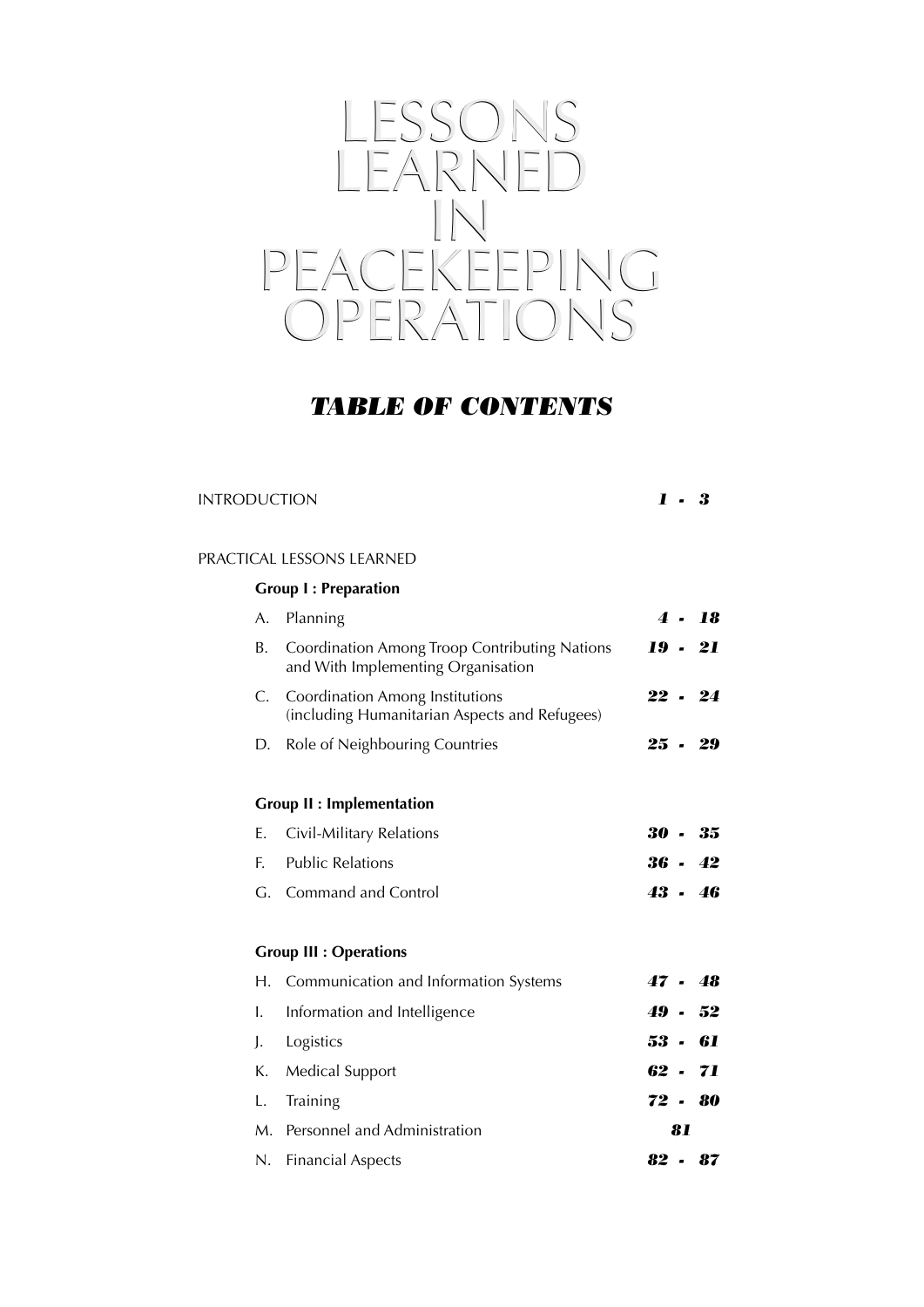

### *TABLE OF CONTENTS*

### INTRODUCTION *1 - 3*

### PRACTICAL LESSONS LEARNED

### **Group I : Preparation**

| A. | Planning                                                                                |    | 4.18      |
|----|-----------------------------------------------------------------------------------------|----|-----------|
| В. | Coordination Among Troop Contributing Nations<br>and With Implementing Organisation     |    | 19 - 21   |
| C. | <b>Coordination Among Institutions</b><br>(including Humanitarian Aspects and Refugees) |    | $22 - 24$ |
| D. | Role of Neighbouring Countries                                                          |    | $25 - 29$ |
|    | <b>Group II : Implementation</b>                                                        |    |           |
| Е. | Civil-Military Relations                                                                |    | $30 - 35$ |
| F. | <b>Public Relations</b>                                                                 |    | $36 - 42$ |
|    | G. Command and Control                                                                  |    | $43 - 46$ |
|    | <b>Group III : Operations</b>                                                           |    |           |
|    | H. Communication and Information Systems                                                |    | $47 - 48$ |
| I. | Information and Intelligence                                                            |    | $49 - 52$ |
| J. | Logistics                                                                               |    | 53 - 61   |
| К. | <b>Medical Support</b>                                                                  |    | $62 - 71$ |
| L. | Training                                                                                |    | $72 - 80$ |
|    | M. Personnel and Administration                                                         | 81 |           |
| N. | <b>Financial Aspects</b>                                                                |    | $82 - 87$ |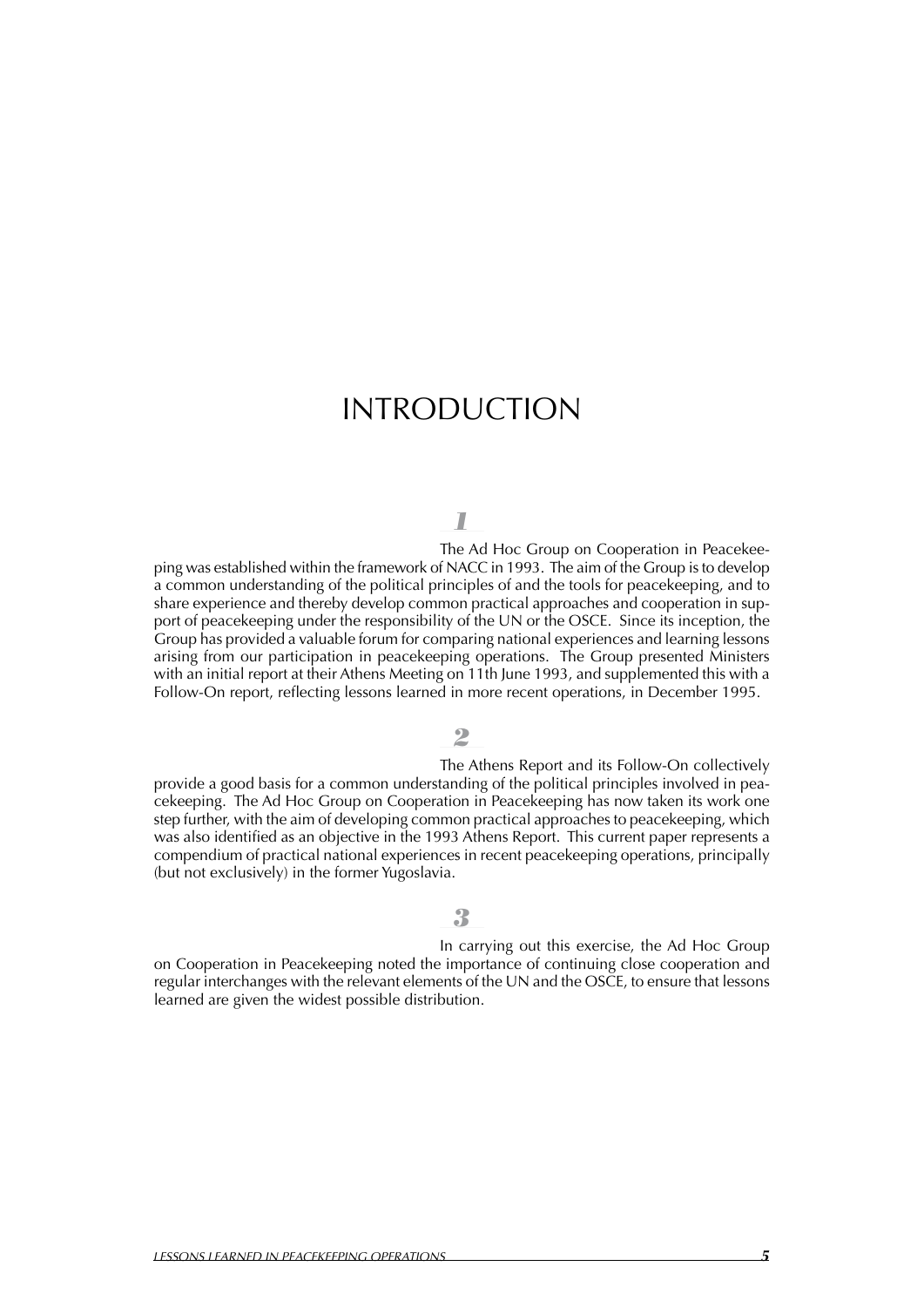# INTRODUCTION

### *1*

The Ad Hoc Group on Cooperation in Peacekeeping was established within the framework of NACC in 1993. The aim of the Group isto develop a common understanding of the political principles of and the tools for peacekeeping, and to share experience and thereby develop common practical approaches and cooperation in support of peacekeeping under the responsibility of the UN or the OSCE. Since its inception, the Group has provided a valuable forum for comparing national experiences and learning lessons arising from our participation in peacekeeping operations. The Group presented Ministers with an initial report at their Athens Meeting on 11th June 1993, and supplemented this with a Follow-On report, reflecting lessons learned in more recent operations, in December 1995.

### *2*

The Athens Report and its Follow-On collectively provide a good basis for a common understanding of the political principles involved in peacekeeping. The Ad Hoc Group on Cooperation in Peacekeeping has now taken its work one step further, with the aim of developing common practical approaches to peacekeeping, which was also identified as an objective in the 1993 Athens Report. This current paper represents a compendium of practical national experiences in recent peacekeeping operations, principally (but not exclusively) in the former Yugoslavia.

#### *3*

In carrying out this exercise, the Ad Hoc Group on Cooperation in Peacekeeping noted the importance of continuing close cooperation and regular interchanges with the relevant elements of the UN and the OSCE, to ensure that lessons learned are given the widest possible distribution.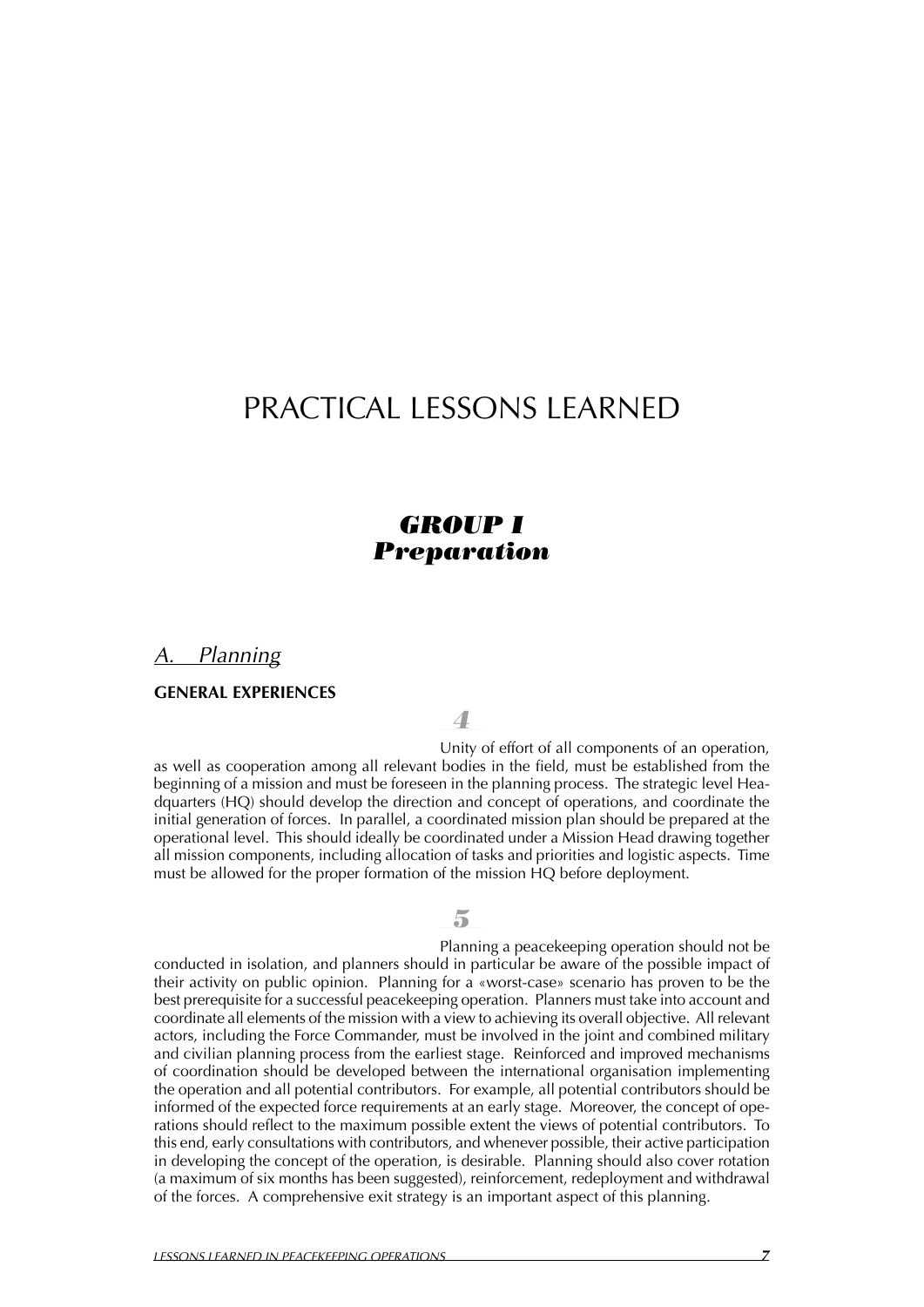# PRACTICAL LESSONS LEARNED

### *GROUP I Preparation*

*A. Planning*

#### **GENERAL EXPERIENCES**

*4*

Unity of effort of all components of an operation, as well as cooperation among all relevant bodies in the field, must be established from the beginning of a mission and must be foreseen in the planning process. The strategic level Headquarters (HQ) should develop the direction and concept of operations, and coordinate the initial generation of forces. In parallel, a coordinated mission plan should be prepared at the operational level. This should ideally be coordinated under a Mission Head drawing together all mission components, including allocation of tasks and priorities and logistic aspects. Time must be allowed for the proper formation of the mission HQ before deployment.

#### *5*

Planning a peacekeeping operation should not be conducted in isolation, and planners should in particular be aware of the possible impact of their activity on public opinion. Planning for a «worst-case» scenario has proven to be the best prerequisite for a successful peacekeeping operation. Planners must take into account and coordinate all elements of the mission with a view to achieving its overall objective. All relevant actors, including the Force Commander, must be involved in the joint and combined military and civilian planning process from the earliest stage. Reinforced and improved mechanisms of coordination should be developed between the international organisation implementing the operation and all potential contributors. For example, all potential contributors should be informed of the expected force requirements at an early stage. Moreover, the concept of operations should reflect to the maximum possible extent the views of potential contributors. To this end, early consultations with contributors, and whenever possible, their active participation in developing the concept of the operation, is desirable. Planning should also cover rotation (a maximum of six months has been suggested), reinforcement, redeployment and withdrawal of the forces. A comprehensive exit strategy is an important aspect of this planning.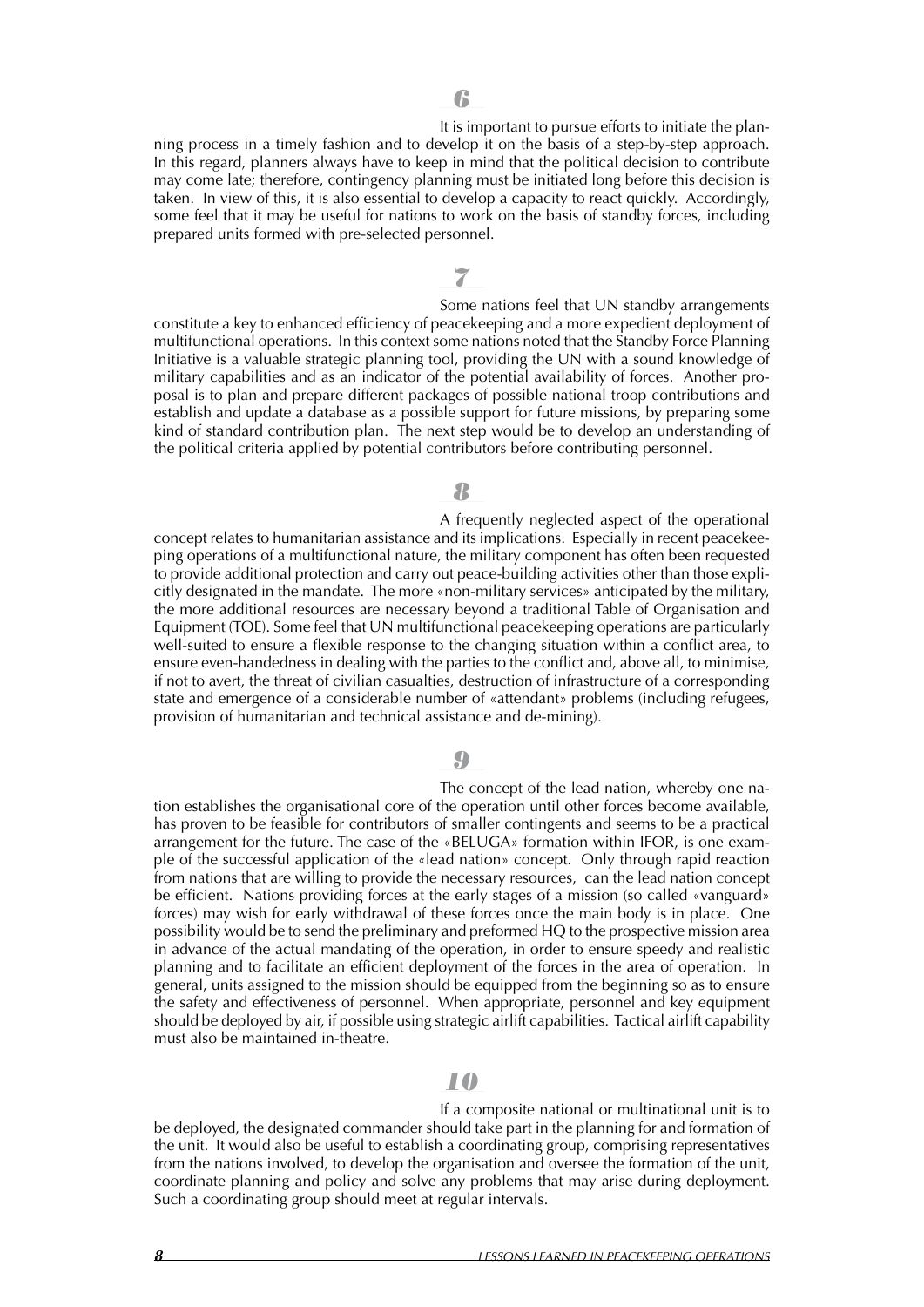It is important to pursue efforts to initiate the planning process in a timely fashion and to develop it on the basis of a step-by-step approach. In this regard, planners always have to keep in mind that the political decision to contribute may come late; therefore, contingency planning must be initiated long before this decision is taken. In view of this, it is also essential to develop a capacity to react quickly. Accordingly, some feel that it may be useful for nations to work on the basis of standby forces, including prepared units formed with pre-selected personnel.

*7*

Some nations feel that UN standby arrangements constitute a key to enhanced efficiency of peacekeeping and a more expedient deployment of multifunctional operations. In this context some nations noted that the Standby Force Planning Initiative is a valuable strategic planning tool, providing the UN with a sound knowledge of military capabilities and as an indicator of the potential availability of forces. Another proposal is to plan and prepare different packages of possible national troop contributions and establish and update a database as a possible support for future missions, by preparing some kind of standard contribution plan. The next step would be to develop an understanding of the political criteria applied by potential contributors before contributing personnel.

### *8*

A frequently neglected aspect of the operational concept relates to humanitarian assistance and its implications. Especially in recent peacekeeping operations of a multifunctional nature, the military component has often been requested to provide additional protection and carry out peace-building activities other than those explicitly designated in the mandate. The more «non-military services» anticipated by the military, the more additional resources are necessary beyond a traditional Table of Organisation and Equipment (TOE). Some feel that UN multifunctional peacekeeping operations are particularly well-suited to ensure a flexible response to the changing situation within a conflict area, to ensure even-handedness in dealing with the parties to the conflict and, above all, to minimise, if not to avert, the threat of civilian casualties, destruction of infrastructure of a corresponding state and emergence of a considerable number of «attendant» problems (including refugees, provision of humanitarian and technical assistance and de-mining).

#### *9*

The concept of the lead nation, whereby one nation establishes the organisational core of the operation until other forces become available, has proven to be feasible for contributors of smaller contingents and seems to be a practical arrangement for the future. The case of the «BELUGA» formation within IFOR, is one example of the successful application of the «lead nation» concept. Only through rapid reaction from nations that are willing to provide the necessary resources, can the lead nation concept be efficient. Nations providing forces at the early stages of a mission (so called «vanguard» forces) may wish for early withdrawal of these forces once the main body is in place. One possibility would be to send the preliminary and preformed HQ to the prospective mission area in advance of the actual mandating of the operation, in order to ensure speedy and realistic planning and to facilitate an efficient deployment of the forces in the area of operation. In general, units assigned to the mission should be equipped from the beginning so as to ensure the safety and effectiveness of personnel. When appropriate, personnel and key equipment should be deployed by air, if possible using strategic airlift capabilities. Tactical airlift capability must also be maintained in-theatre.

### *10*

If a composite national or multinational unit is to be deployed, the designated commander should take part in the planning for and formation of the unit. It would also be useful to establish a coordinating group, comprising representatives from the nations involved, to develop the organisation and oversee the formation of the unit, coordinate planning and policy and solve any problems that may arise during deployment. Such a coordinating group should meet at regular intervals.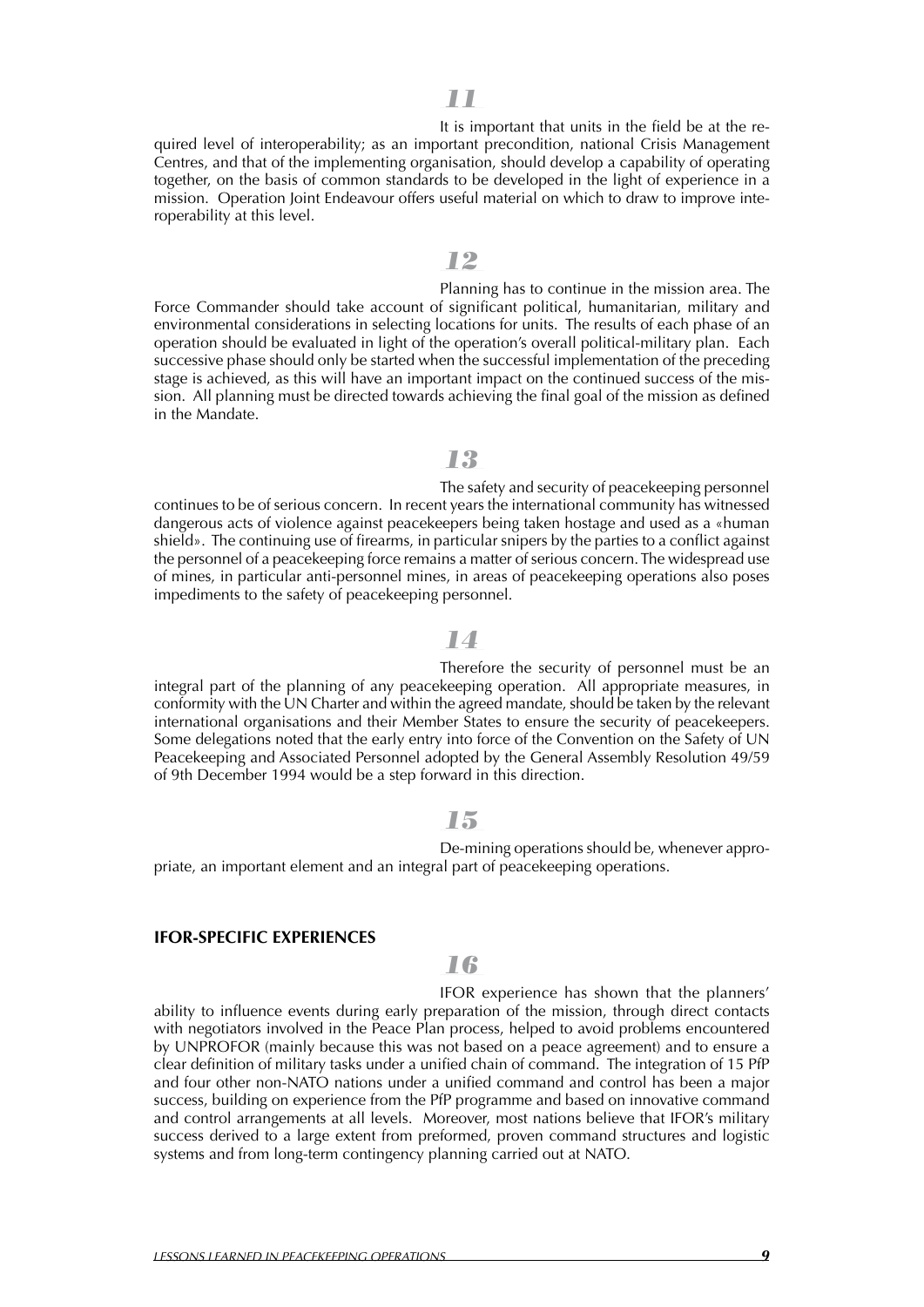It is important that units in the field be at the required level of interoperability; as an important precondition, national Crisis Management Centres, and that of the implementing organisation, should develop a capability of operating together, on the basis of common standards to be developed in the light of experience in a mission. Operation Joint Endeavour offers useful material on which to draw to improve interoperability at this level.

### *12*

Planning has to continue in the mission area. The Force Commander should take account of significant political, humanitarian, military and environmental considerations in selecting locations for units. The results of each phase of an operation should be evaluated in light of the operation's overall political-military plan. Each successive phase should only be started when the successful implementation of the preceding stage is achieved, as this will have an important impact on the continued success of the mission. All planning must be directed towards achieving the final goal of the mission as defined in the Mandate.

### *13*

The safety and security of peacekeeping personnel continues to be of serious concern. In recent years the international community has witnessed dangerous acts of violence against peacekeepers being taken hostage and used as a «human shield». The continuing use of firearms, in particular snipers by the parties to a conflict against the personnel of a peacekeeping force remains a matter of serious concern.The widespread use of mines, in particular anti-personnel mines, in areas of peacekeeping operations also poses impediments to the safety of peacekeeping personnel.

### *14*

Therefore the security of personnel must be an integral part of the planning of any peacekeeping operation. All appropriate measures, in conformity with the UN Charter and within the agreed mandate, should be taken by the relevant international organisations and their Member States to ensure the security of peacekeepers. Some delegations noted that the early entry into force of the Convention on the Safety of UN Peacekeeping and Associated Personnel adopted by the General Assembly Resolution 49/59 of 9th December 1994 would be a step forward in this direction.

#### *15*

De-mining operations should be, whenever appropriate, an important element and an integral part of peacekeeping operations.

#### **IFOR-SPECIFIC EXPERIENCES**

### *16*

IFOR experience has shown that the planners' ability to influence events during early preparation of the mission, through direct contacts with negotiators involved in the Peace Plan process, helped to avoid problems encountered by UNPROFOR (mainly because this was not based on a peace agreement) and to ensure a clear definition of military tasks under a unified chain of command. The integration of 15 PfP and four other non-NATO nations under a unified command and control has been a major success, building on experience from the PfP programme and based on innovative command and control arrangements at all levels. Moreover, most nations believe that IFOR's military success derived to a large extent from preformed, proven command structures and logistic systems and from long-term contingency planning carried out at NATO.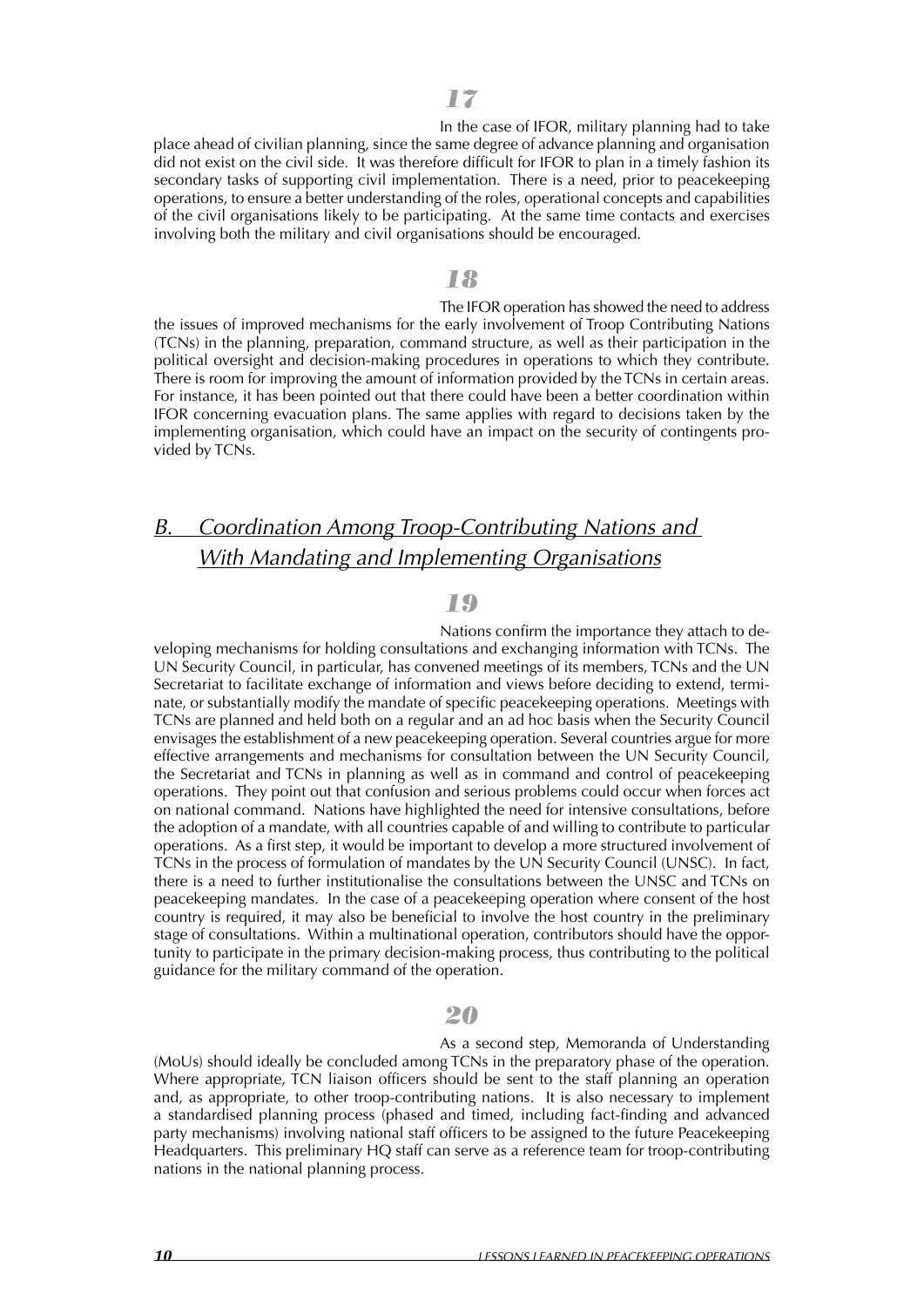In the case of IFOR, military planning had to take place ahead of civilian planning, since the same degree of advance planning and organisation did not exist on the civil side. It was therefore difficult for IFOR to plan in a timely fashion its secondary tasks of supporting civil implementation. There is a need, prior to peacekeeping operations, to ensure a better understanding of the roles, operational concepts and capabilities of the civil organisations likely to be participating. At the same time contacts and exercises involving both the military and civil organisations should be encouraged.

#### *18*

The IFOR operation has showed the need to address the issues of improved mechanisms for the early involvement of Troop Contributing Nations (TCNs) in the planning, preparation, command structure, as well as their participation in the political oversight and decision-making procedures in operations to which they contribute. There is room for improving the amount of information provided by the TCNs in certain areas. For instance, it has been pointed out that there could have been a better coordination within IFOR concerning evacuation plans. The same applies with regard to decisions taken by the implementing organisation, which could have an impact on the security of contingents provided by TCNs.

# *B. Coordination Among Troop-Contributing Nations and With Mandating and Implementing Organisations*

### *19*

Nations confirm the importance they attach to developing mechanisms for holding consultations and exchanging information with TCNs. The UN Security Council, in particular, has convened meetings of its members, TCNs and the UN Secretariat to facilitate exchange of information and views before deciding to extend, terminate, or substantially modify the mandate of specific peacekeeping operations. Meetings with TCNs are planned and held both on a regular and an ad hoc basis when the Security Council envisages the establishment of a new peacekeeping operation. Several countries argue for more effective arrangements and mechanisms for consultation between the UN Security Council, the Secretariat and TCNs in planning as well as in command and control of peacekeeping operations. They point out that confusion and serious problems could occur when forces act on national command. Nations have highlighted the need for intensive consultations, before the adoption of a mandate, with all countries capable of and willing to contribute to particular operations. As a first step, it would be important to develop a more structured involvement of TCNs in the process of formulation of mandates by the UN Security Council (UNSC). In fact, there is a need to further institutionalise the consultations between the UNSC and TCNs on peacekeeping mandates. In the case of a peacekeeping operation where consent of the host country is required, it may also be beneficial to involve the host country in the preliminary stage of consultations. Within a multinational operation, contributors should have the opportunity to participate in the primary decision-making process, thus contributing to the political guidance for the military command of the operation.

### *20*

As a second step, Memoranda of Understanding (MoUs) should ideally be concluded among TCNs in the preparatory phase of the operation. Where appropriate, TCN liaison officers should be sent to the staff planning an operation and, as appropriate, to other troop-contributing nations. It is also necessary to implement a standardised planning process (phased and timed, including fact-finding and advanced party mechanisms) involving national staff officers to be assigned to the future Peacekeeping Headquarters. This preliminary HQ staff can serve as a reference team for troop-contributing nations in the national planning process.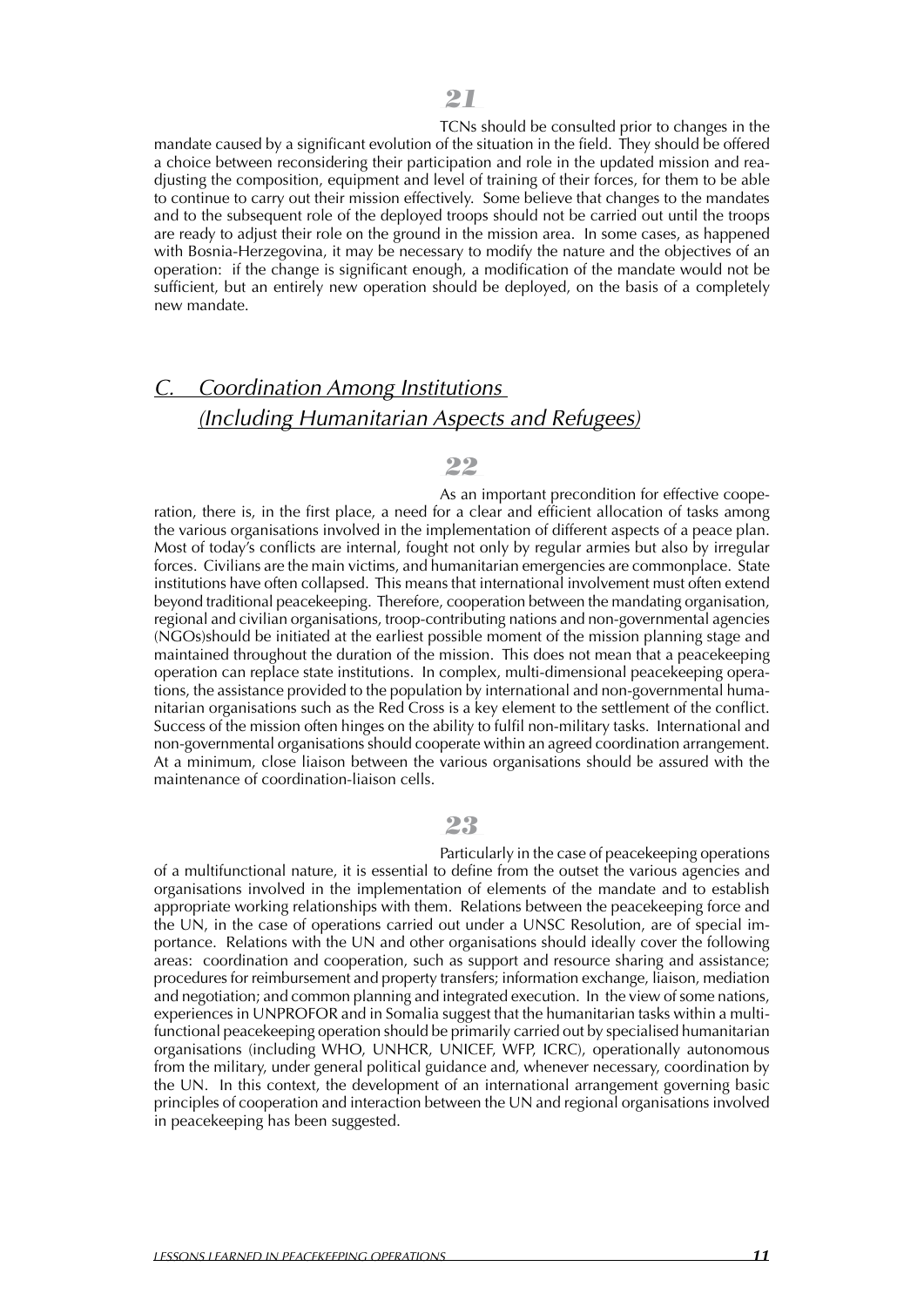TCNs should be consulted prior to changes in the mandate caused by a significant evolution of the situation in the field. They should be offered a choice between reconsidering their participation and role in the updated mission and readjusting the composition, equipment and level of training of their forces, for them to be able to continue to carry out their mission effectively. Some believe that changes to the mandates and to the subsequent role of the deployed troops should not be carried out until the troops are ready to adjust their role on the ground in the mission area. In some cases, as happened with Bosnia-Herzegovina, it may be necessary to modify the nature and the objectives of an operation: if the change is significant enough, a modification of the mandate would not be sufficient, but an entirely new operation should be deployed, on the basis of a completely new mandate.

### *C. Coordination Among Institutions (Including Humanitarian Aspects and Refugees)*

### *22*

As an important precondition for effective cooperation, there is, in the first place, a need for a clear and efficient allocation of tasks among the various organisations involved in the implementation of different aspects of a peace plan. Most of today's conflicts are internal, fought not only by regular armies but also by irregular forces. Civilians are the main victims, and humanitarian emergencies are commonplace. State institutions have often collapsed. This means that international involvement must often extend beyond traditional peacekeeping. Therefore, cooperation between the mandating organisation, regional and civilian organisations, troop-contributing nations and non-governmental agencies (NGOs)should be initiated at the earliest possible moment of the mission planning stage and maintained throughout the duration of the mission. This does not mean that a peacekeeping operation can replace state institutions. In complex, multi-dimensional peacekeeping operations, the assistance provided to the population by international and non-governmental humanitarian organisations such as the Red Cross is a key element to the settlement of the conflict. Success of the mission often hinges on the ability to fulfil non-military tasks. International and non-governmental organisations should cooperate within an agreed coordination arrangement. At a minimum, close liaison between the various organisations should be assured with the maintenance of coordination-liaison cells.

### *23*

Particularly in the case of peacekeeping operations of a multifunctional nature, it is essential to define from the outset the various agencies and organisations involved in the implementation of elements of the mandate and to establish appropriate working relationships with them. Relations between the peacekeeping force and the UN, in the case of operations carried out under a UNSC Resolution, are of special importance. Relations with the UN and other organisations should ideally cover the following areas: coordination and cooperation, such as support and resource sharing and assistance; procedures for reimbursement and property transfers; information exchange, liaison, mediation and negotiation; and common planning and integrated execution. In the view of some nations, experiences in UNPROFOR and in Somalia suggest that the humanitarian tasks within a multifunctional peacekeeping operation should be primarily carried out by specialised humanitarian organisations (including WHO, UNHCR, UNICEF, WFP, ICRC), operationally autonomous from the military, under general political guidance and, whenever necessary, coordination by the UN. In this context, the development of an international arrangement governing basic principles of cooperation and interaction between the UN and regional organisations involved in peacekeeping has been suggested.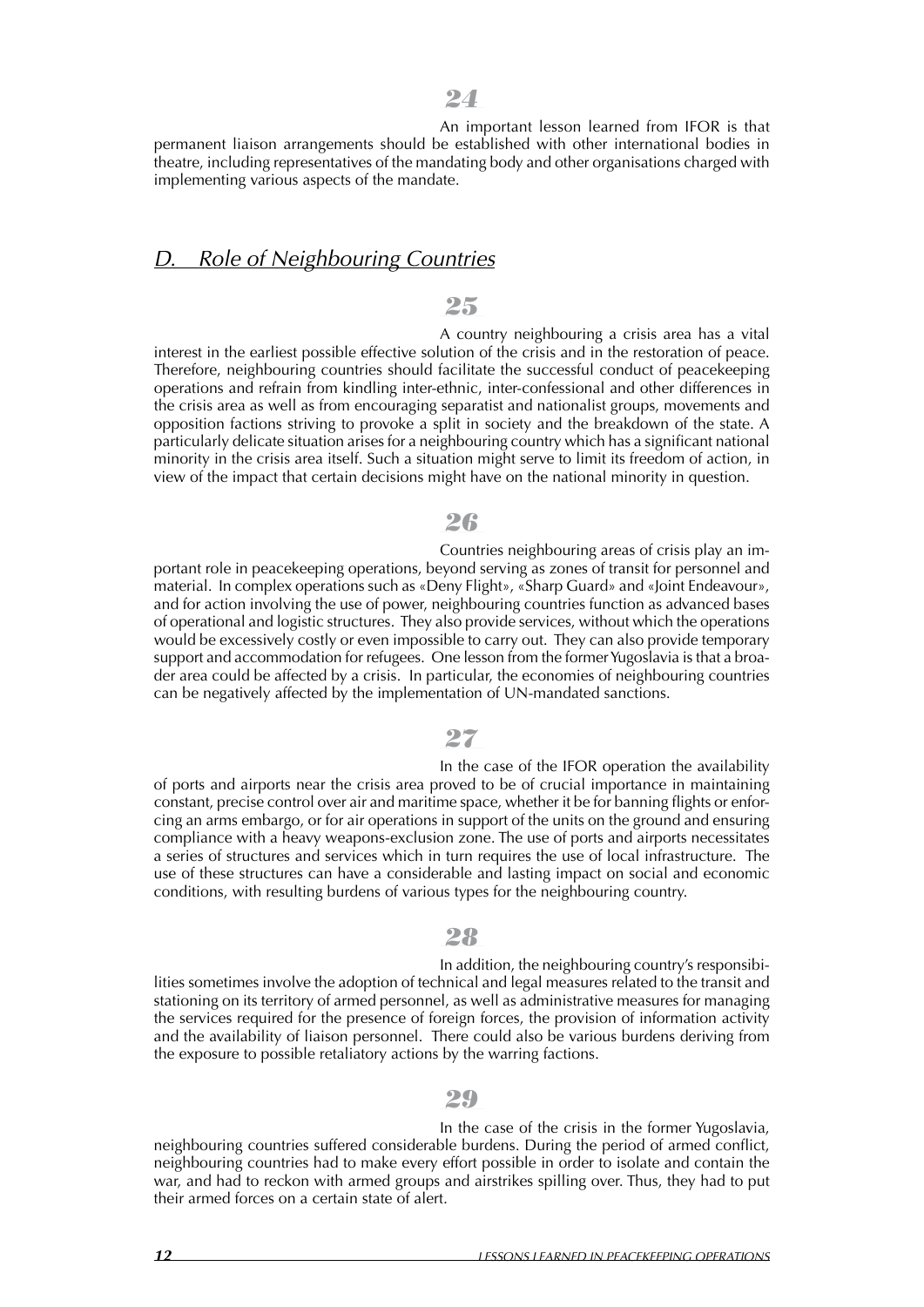An important lesson learned from IFOR is that permanent liaison arrangements should be established with other international bodies in theatre, including representatives of the mandating body and other organisations charged with implementing various aspects of the mandate.

### *D. Role of Neighbouring Countries*

### *25*

A country neighbouring a crisis area has a vital interest in the earliest possible effective solution of the crisis and in the restoration of peace. Therefore, neighbouring countries should facilitate the successful conduct of peacekeeping operations and refrain from kindling inter-ethnic, inter-confessional and other differences in the crisis area as well as from encouraging separatist and nationalist groups, movements and opposition factions striving to provoke a split in society and the breakdown of the state. A particularly delicate situation arises for a neighbouring country which has a significant national minority in the crisis area itself. Such a situation might serve to limit its freedom of action, in view of the impact that certain decisions might have on the national minority in question.

### *26*

Countries neighbouring areas of crisis play an important role in peacekeeping operations, beyond serving as zones of transit for personnel and material. In complex operations such as «Deny Flight», «Sharp Guard» and «Joint Endeavour», and for action involving the use of power, neighbouring countries function as advanced bases of operational and logistic structures. They also provide services, without which the operations would be excessively costly or even impossible to carry out. They can also provide temporary support and accommodation for refugees. One lesson from the former Yugoslavia is that a broader area could be affected by a crisis. In particular, the economies of neighbouring countries can be negatively affected by the implementation of UN-mandated sanctions.

### *27*

In the case of the IFOR operation the availability of ports and airports near the crisis area proved to be of crucial importance in maintaining constant, precise control over air and maritime space, whether it be for banning flights or enforcing an arms embargo, or for air operations in support of the units on the ground and ensuring compliance with a heavy weapons-exclusion zone. The use of ports and airports necessitates a series of structures and services which in turn requires the use of local infrastructure. The use of these structures can have a considerable and lasting impact on social and economic conditions, with resulting burdens of various types for the neighbouring country.

#### *28*

In addition, the neighbouring country's responsibilities sometimes involve the adoption of technical and legal measures related to the transit and stationing on its territory of armed personnel, as well as administrative measures for managing the services required for the presence of foreign forces, the provision of information activity and the availability of liaison personnel. There could also be various burdens deriving from the exposure to possible retaliatory actions by the warring factions.

### *29*

In the case of the crisis in the former Yugoslavia, neighbouring countries suffered considerable burdens. During the period of armed conflict, neighbouring countries had to make every effort possible in order to isolate and contain the war, and had to reckon with armed groups and airstrikes spilling over. Thus, they had to put their armed forces on a certain state of alert.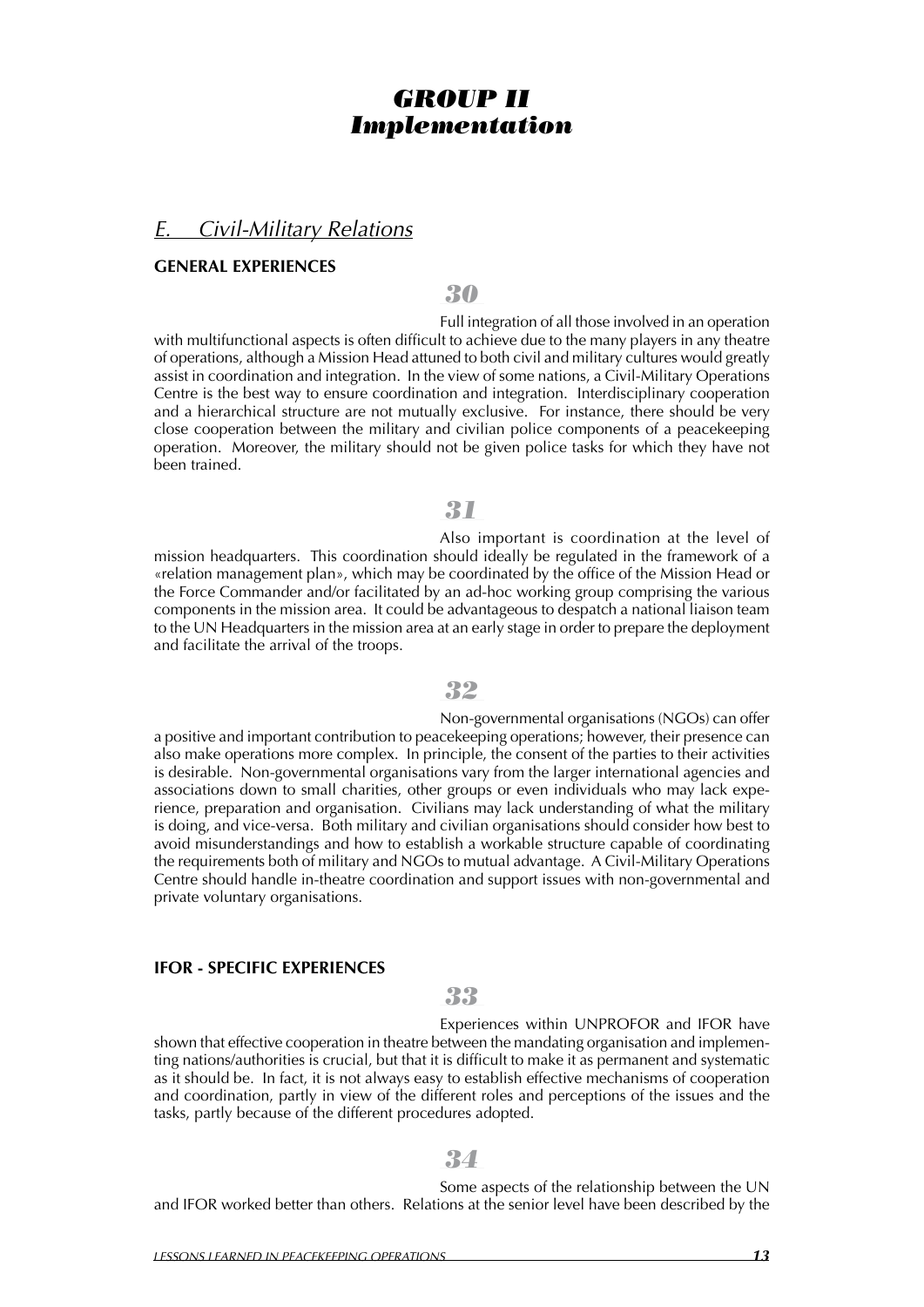### *GROUP II Implementation*

### *E. Civil-Military Relations*

#### **GENERAL EXPERIENCES**

*30*

Full integration of all those involved in an operation with multifunctional aspects is often difficult to achieve due to the many players in any theatre of operations, although a Mission Head attuned to both civil and military cultures would greatly assist in coordination and integration. In the view of some nations, a Civil-Military Operations Centre is the best way to ensure coordination and integration. Interdisciplinary cooperation and a hierarchical structure are not mutually exclusive. For instance, there should be very close cooperation between the military and civilian police components of a peacekeeping operation. Moreover, the military should not be given police tasks for which they have not been trained.

*31*

Also important is coordination at the level of mission headquarters. This coordination should ideally be regulated in the framework of a «relation management plan», which may be coordinated by the office of the Mission Head or the Force Commander and/or facilitated by an ad-hoc working group comprising the various components in the mission area. It could be advantageous to despatch a national liaison team to the UN Headquarters in the mission area at an early stage in order to prepare the deployment and facilitate the arrival of the troops.

#### *32*

Non-governmental organisations (NGOs) can offer a positive and important contribution to peacekeeping operations; however, their presence can also make operations more complex. In principle, the consent of the parties to their activities is desirable. Non-governmental organisations vary from the larger international agencies and associations down to small charities, other groups or even individuals who may lack experience, preparation and organisation. Civilians may lack understanding of what the military is doing, and vice-versa. Both military and civilian organisations should consider how best to avoid misunderstandings and how to establish a workable structure capable of coordinating the requirements both of military and NGOs to mutual advantage. A Civil-Military Operations Centre should handle in-theatre coordination and support issues with non-governmental and private voluntary organisations.

#### **IFOR - SPECIFIC EXPERIENCES**

### *33*

Experiences within UNPROFOR and IFOR have shown that effective cooperation in theatre between the mandating organisation and implementing nations/authorities is crucial, but that it is difficult to make it as permanent and systematic as it should be. In fact, it is not always easy to establish effective mechanisms of cooperation and coordination, partly in view of the different roles and perceptions of the issues and the tasks, partly because of the different procedures adopted.

### *34*

Some aspects of the relationship between the UN and IFOR worked better than others. Relations at the senior level have been described by the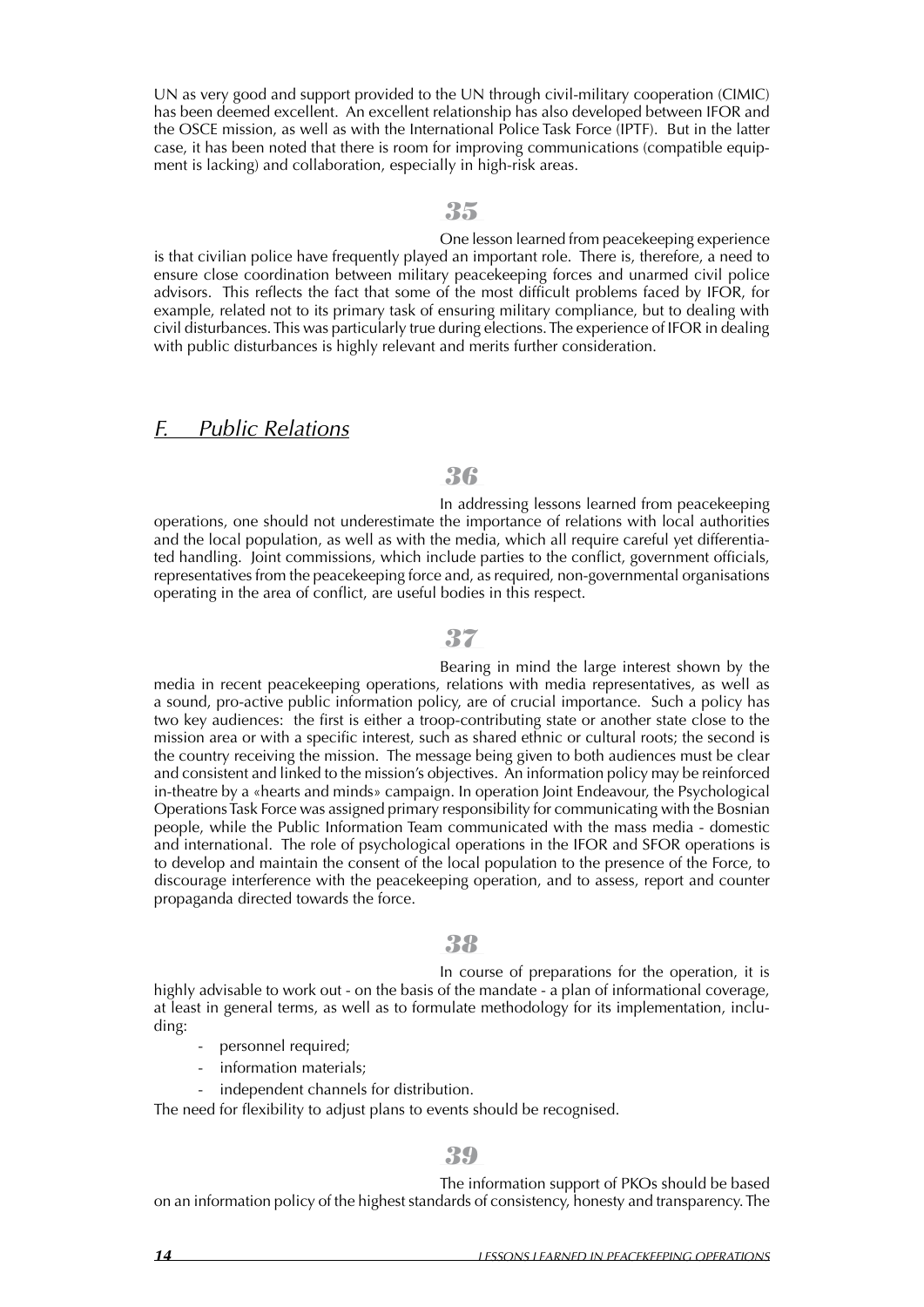UN as very good and support provided to the UN through civil-military cooperation (CIMIC) has been deemed excellent. An excellent relationship has also developed between IFOR and the OSCE mission, as well as with the International Police Task Force (IPTF). But in the latter case, it has been noted that there is room for improving communications (compatible equipment is lacking) and collaboration, especially in high-risk areas.

#### *35*

One lesson learned from peacekeeping experience is that civilian police have frequently played an important role. There is, therefore, a need to ensure close coordination between military peacekeeping forces and unarmed civil police advisors. This reflects the fact that some of the most difficult problems faced by IFOR, for example, related not to its primary task of ensuring military compliance, but to dealing with civil disturbances.This was particularly true during elections.The experience of IFOR in dealing with public disturbances is highly relevant and merits further consideration.

### *F. Public Relations*

### *36*

In addressing lessons learned from peacekeeping operations, one should not underestimate the importance of relations with local authorities and the local population, as well as with the media, which all require careful yet differentiated handling. Joint commissions, which include parties to the conflict, government officials, representatives from the peacekeeping force and, as required, non-governmental organisations operating in the area of conflict, are useful bodies in this respect.

### *37*

Bearing in mind the large interest shown by the media in recent peacekeeping operations, relations with media representatives, as well as a sound, pro-active public information policy, are of crucial importance. Such a policy has two key audiences: the first is either a troop-contributing state or another state close to the mission area or with a specific interest, such as shared ethnic or cultural roots; the second is the country receiving the mission. The message being given to both audiences must be clear and consistent and linked to the mission's objectives. An information policy may be reinforced in-theatre by a «hearts and minds» campaign. In operation Joint Endeavour, the Psychological OperationsTask Force was assigned primary responsibility for communicating with the Bosnian people, while the Public Information Team communicated with the mass media - domestic and international. The role of psychological operations in the IFOR and SFOR operations is to develop and maintain the consent of the local population to the presence of the Force, to discourage interference with the peacekeeping operation, and to assess, report and counter propaganda directed towards the force.

### *38*

In course of preparations for the operation, it is highly advisable to work out - on the basis of the mandate - a plan of informational coverage, at least in general terms, as well as to formulate methodology for its implementation, including:

- personnel required;
- information materials;
- independent channels for distribution.

The need for flexibility to adjust plans to events should be recognised.

#### *39*

The information support of PKOs should be based on an information policy of the highest standards of consistency, honesty and transparency.The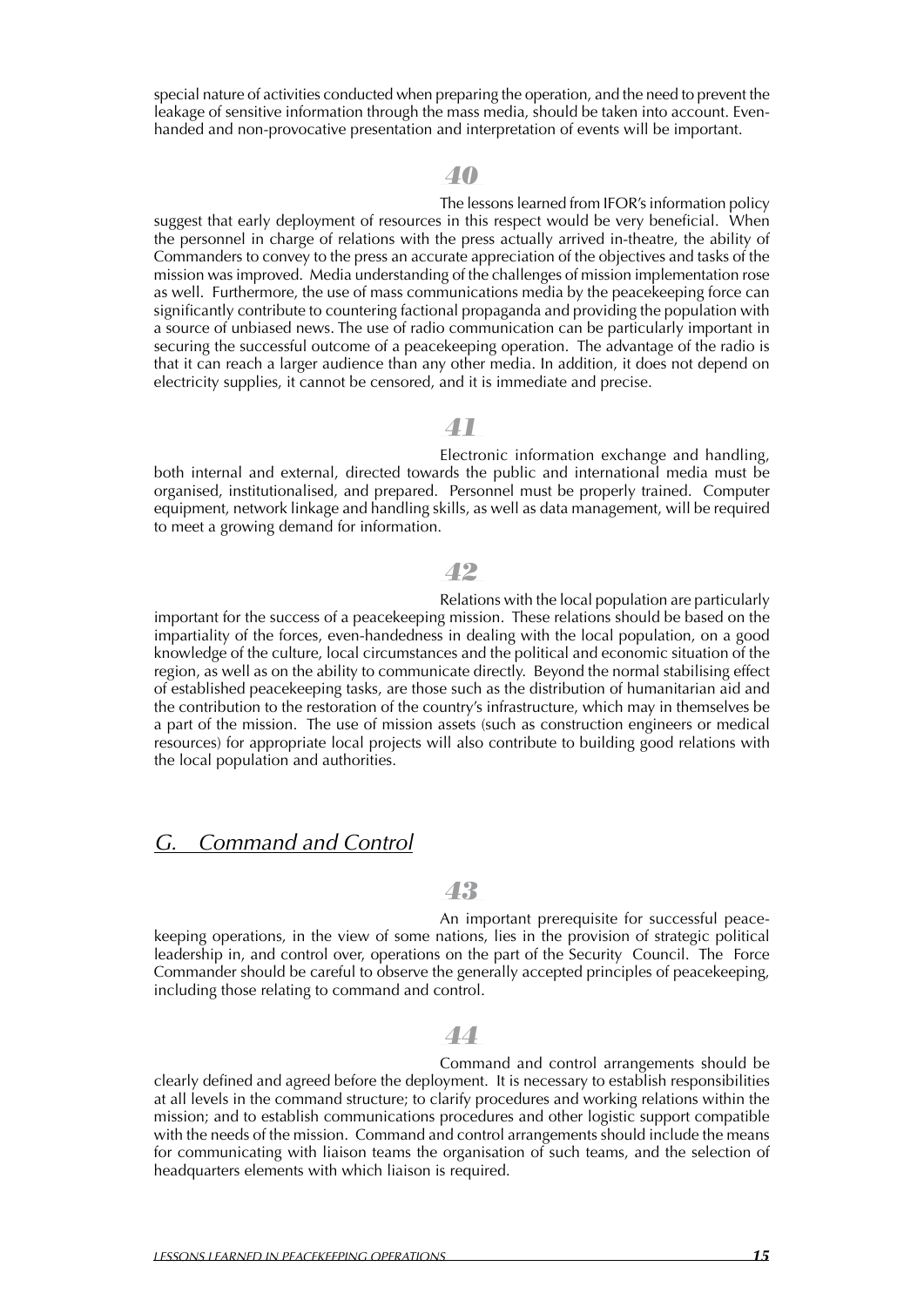special nature of activities conducted when preparing the operation, and the need to prevent the leakage of sensitive information through the mass media, should be taken into account. Evenhanded and non-provocative presentation and interpretation of events will be important.

### *40*

The lessons learned from IFOR's information policy suggest that early deployment of resources in this respect would be very beneficial. When the personnel in charge of relations with the press actually arrived in-theatre, the ability of Commanders to convey to the press an accurate appreciation of the objectives and tasks of the mission was improved. Media understanding of the challenges of mission implementation rose as well. Furthermore, the use of mass communications media by the peacekeeping force can significantly contribute to countering factional propaganda and providing the population with a source of unbiased news. The use of radio communication can be particularly important in securing the successful outcome of a peacekeeping operation. The advantage of the radio is that it can reach a larger audience than any other media. In addition, it does not depend on electricity supplies, it cannot be censored, and it is immediate and precise.

### *41*

Electronic information exchange and handling, both internal and external, directed towards the public and international media must be organised, institutionalised, and prepared. Personnel must be properly trained. Computer equipment, network linkage and handling skills, as well as data management, will be required to meet a growing demand for information.

#### *42*

Relations with the local population are particularly important for the success of a peacekeeping mission. These relations should be based on the impartiality of the forces, even-handedness in dealing with the local population, on a good knowledge of the culture, local circumstances and the political and economic situation of the region, as well as on the ability to communicate directly. Beyond the normal stabilising effect of established peacekeeping tasks, are those such as the distribution of humanitarian aid and the contribution to the restoration of the country's infrastructure, which may in themselves be a part of the mission. The use of mission assets (such as construction engineers or medical resources) for appropriate local projects will also contribute to building good relations with the local population and authorities.

### *G. Command and Control*

### *43*

An important prerequisite for successful peacekeeping operations, in the view of some nations, lies in the provision of strategic political leadership in, and control over, operations on the part of the Security Council. The Force Commander should be careful to observe the generally accepted principles of peacekeeping, including those relating to command and control.

### *44*

Command and control arrangements should be clearly defined and agreed before the deployment. It is necessary to establish responsibilities at all levels in the command structure; to clarify procedures and working relations within the mission; and to establish communications procedures and other logistic support compatible with the needs of the mission. Command and control arrangements should include the means for communicating with liaison teams the organisation of such teams, and the selection of headquarters elements with which liaison is required.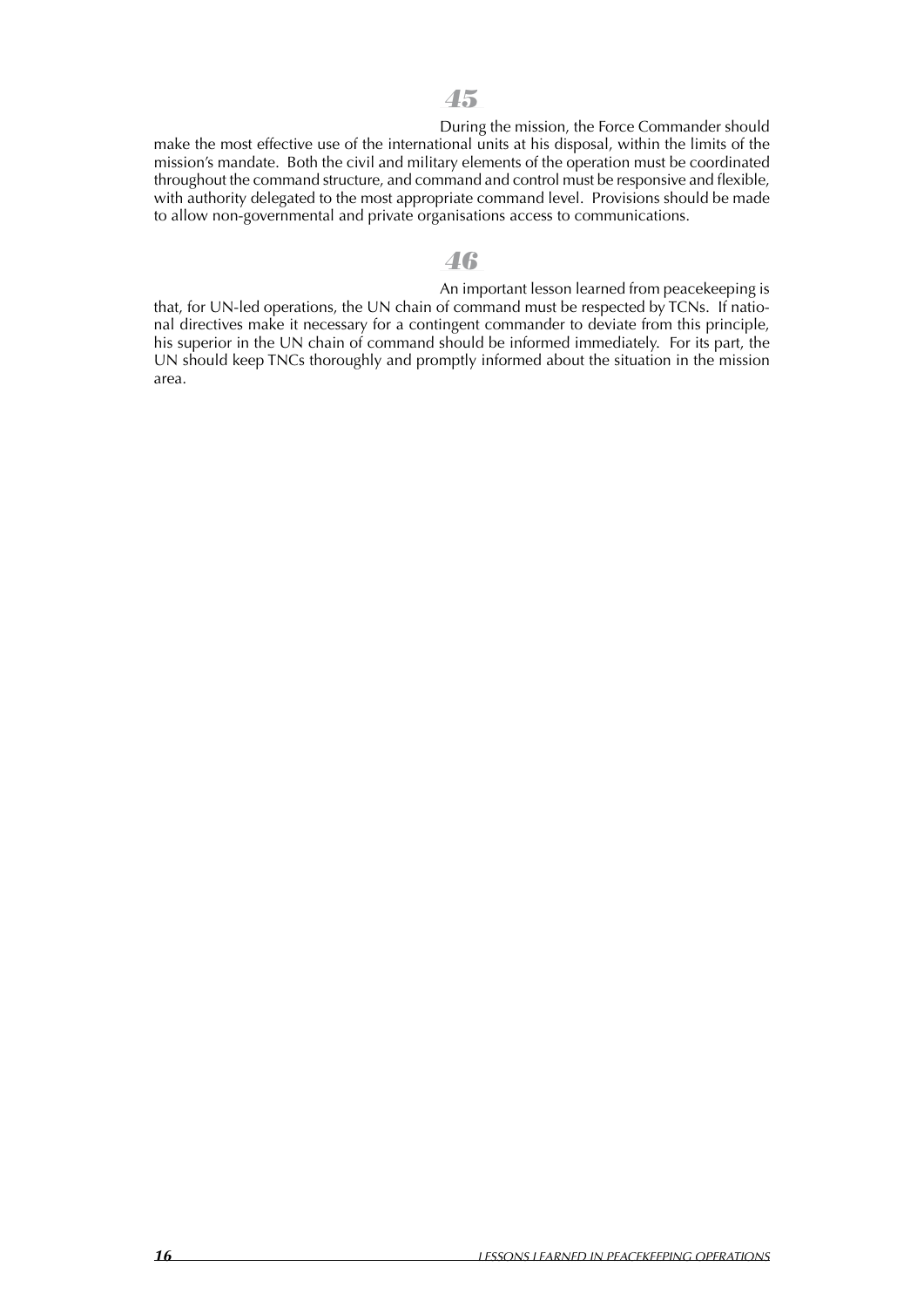During the mission, the Force Commander should make the most effective use of the international units at his disposal, within the limits of the mission's mandate. Both the civil and military elements of the operation must be coordinated throughout the command structure, and command and control must be responsive and flexible, with authority delegated to the most appropriate command level. Provisions should be made to allow non-governmental and private organisations access to communications.

### *46*

An important lesson learned from peacekeeping is that, for UN-led operations, the UN chain of command must be respected by TCNs. If national directives make it necessary for a contingent commander to deviate from this principle, his superior in the UN chain of command should be informed immediately. For its part, the UN should keep TNCs thoroughly and promptly informed about the situation in the mission area.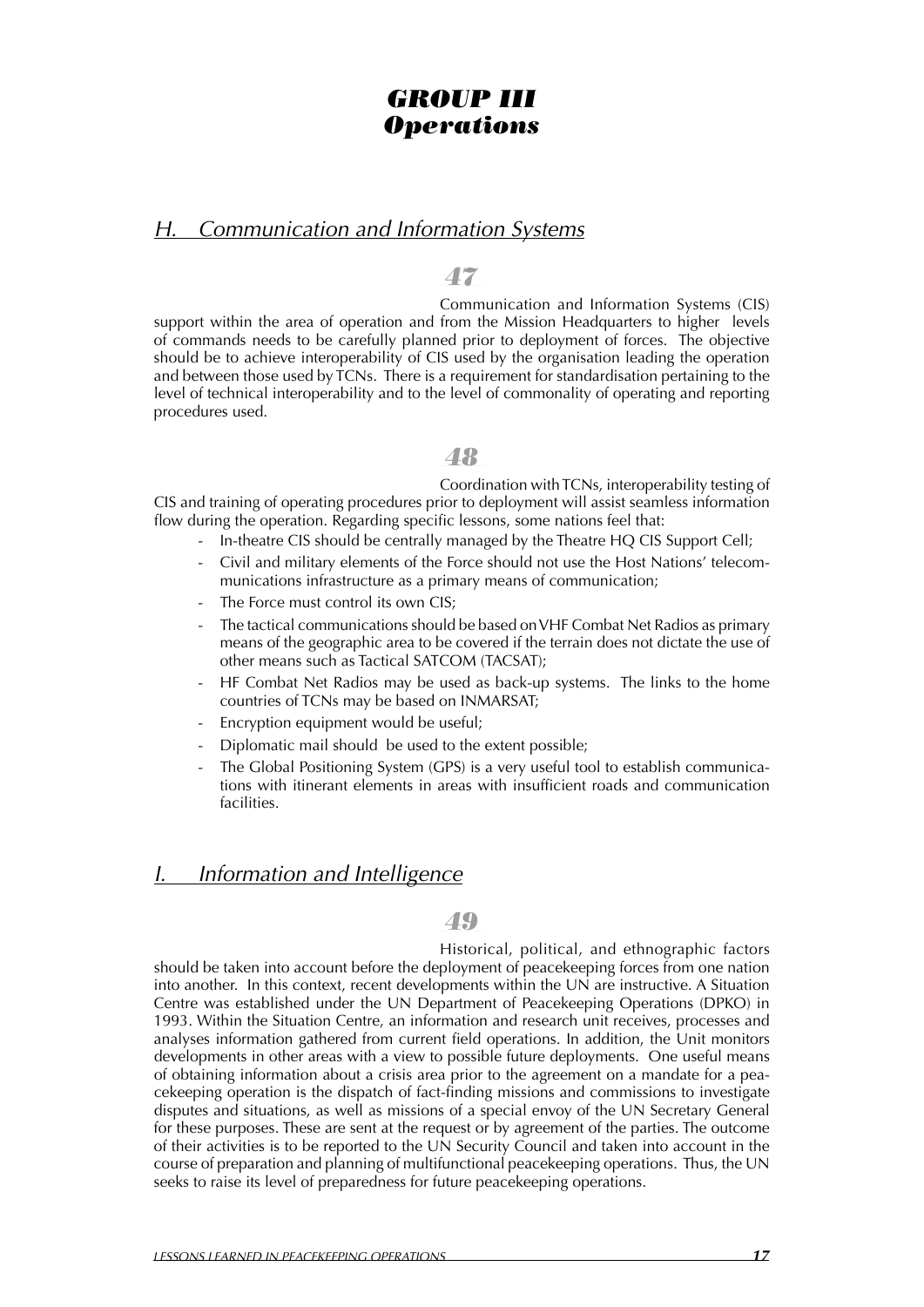## *GROUP III Operations*

### *H. Communication and Information Systems*

### *47*

Communication and Information Systems (CIS) support within the area of operation and from the Mission Headquarters to higher levels of commands needs to be carefully planned prior to deployment of forces. The objective should be to achieve interoperability of CIS used by the organisation leading the operation and between those used by TCNs. There is a requirement for standardisation pertaining to the level of technical interoperability and to the level of commonality of operating and reporting procedures used.

### *48*

Coordination with TCNs, interoperability testing of CIS and training of operating procedures prior to deployment will assist seamless information flow during the operation. Regarding specific lessons, some nations feel that:

- In-theatre CIS should be centrally managed by the Theatre HO CIS Support Cell;
- Civil and military elements of the Force should not use the Host Nations' telecommunications infrastructure as a primary means of communication;
- The Force must control its own CIS;
- The tactical communications should be based on VHF Combat Net Radios as primary means of the geographic area to be covered if the terrain does not dictate the use of other means such as Tactical SATCOM (TACSAT);
- HF Combat Net Radios may be used as back-up systems. The links to the home countries of TCNs may be based on INMARSAT;
- Encryption equipment would be useful;
- Diplomatic mail should be used to the extent possible;
- The Global Positioning System (GPS) is a very useful tool to establish communications with itinerant elements in areas with insufficient roads and communication facilities.

### *I. Information and Intelligence*

### *49*

Historical, political, and ethnographic factors should be taken into account before the deployment of peacekeeping forces from one nation into another. In this context, recent developments within the UN are instructive. A Situation Centre was established under the UN Department of Peacekeeping Operations (DPKO) in 1993. Within the Situation Centre, an information and research unit receives, processes and analyses information gathered from current field operations. In addition, the Unit monitors developments in other areas with a view to possible future deployments. One useful means of obtaining information about a crisis area prior to the agreement on a mandate for a peacekeeping operation is the dispatch of fact-finding missions and commissions to investigate disputes and situations, as well as missions of a special envoy of the UN Secretary General for these purposes. These are sent at the request or by agreement of the parties. The outcome of their activities is to be reported to the UN Security Council and taken into account in the course of preparation and planning of multifunctional peacekeeping operations. Thus, the UN seeks to raise its level of preparedness for future peacekeeping operations.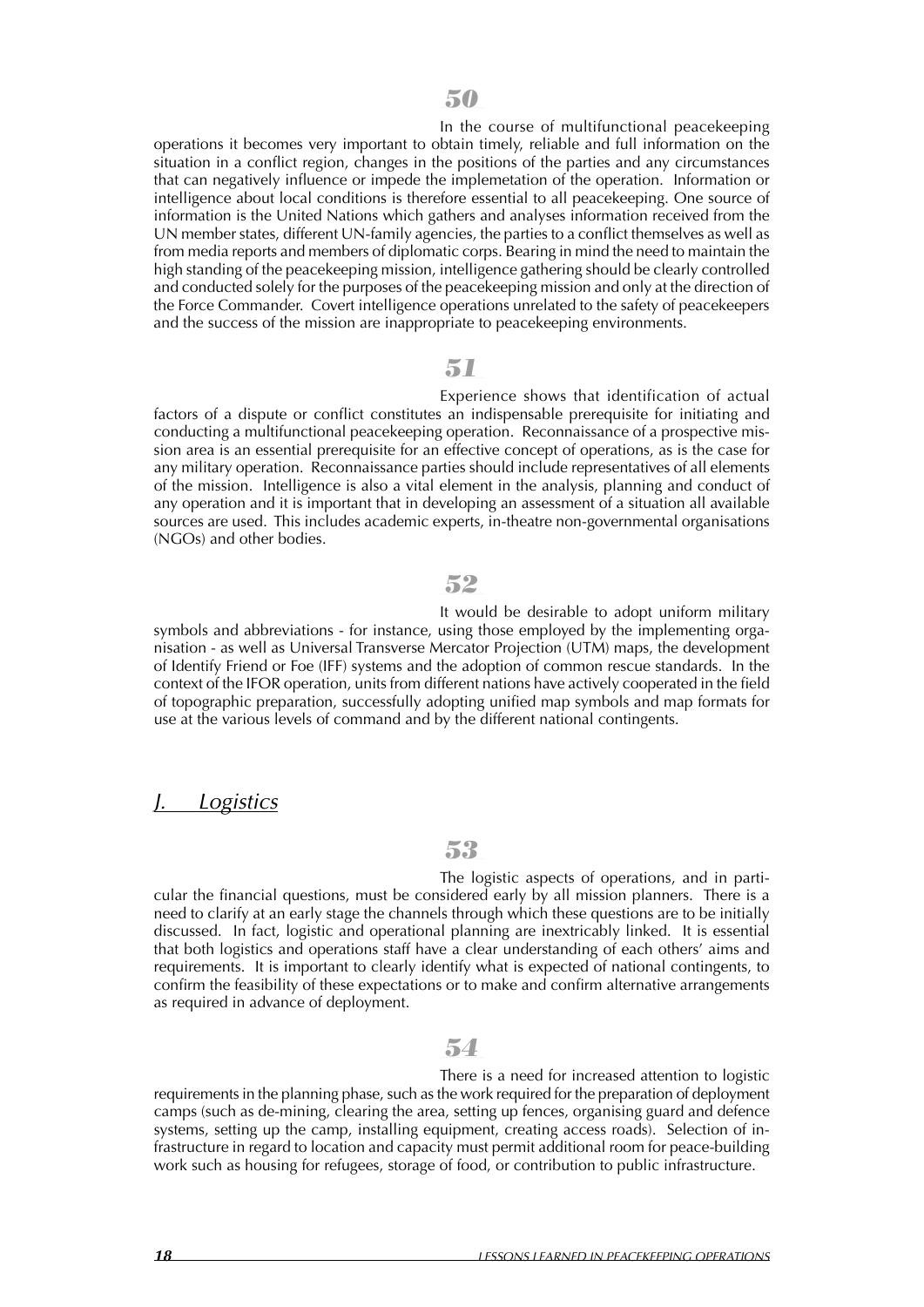In the course of multifunctional peacekeeping operations it becomes very important to obtain timely, reliable and full information on the situation in a conflict region, changes in the positions of the parties and any circumstances that can negatively influence or impede the implemetation of the operation. Information or intelligence about local conditions is therefore essential to all peacekeeping. One source of information is the United Nations which gathers and analyses information received from the UN member states, different UN-family agencies, the parties to a conflict themselves as well as from media reports and members of diplomatic corps. Bearing in mind the need to maintain the high standing of the peacekeeping mission, intelligence gathering should be clearly controlled and conducted solely for the purposes of the peacekeeping mission and only at the direction of the Force Commander. Covert intelligence operations unrelated to the safety of peacekeepers and the success of the mission are inappropriate to peacekeeping environments.

#### *51*

Experience shows that identification of actual factors of a dispute or conflict constitutes an indispensable prerequisite for initiating and conducting a multifunctional peacekeeping operation. Reconnaissance of a prospective mission area is an essential prerequisite for an effective concept of operations, as is the case for any military operation. Reconnaissance parties should include representatives of all elements of the mission. Intelligence is also a vital element in the analysis, planning and conduct of any operation and it is important that in developing an assessment of a situation all available sources are used. This includes academic experts, in-theatre non-governmental organisations (NGOs) and other bodies.

### *52*

It would be desirable to adopt uniform military symbols and abbreviations - for instance, using those employed by the implementing organisation - as well as Universal Transverse Mercator Projection (UTM) maps, the development of Identify Friend or Foe (IFF) systems and the adoption of common rescue standards. In the context of the IFOR operation, units from different nations have actively cooperated in the field of topographic preparation, successfully adopting unified map symbols and map formats for use at the various levels of command and by the different national contingents.

### *J. Logistics*

### *53*

The logistic aspects of operations, and in particular the financial questions, must be considered early by all mission planners. There is a need to clarify at an early stage the channels through which these questions are to be initially discussed. In fact, logistic and operational planning are inextricably linked. It is essential that both logistics and operations staff have a clear understanding of each others' aims and requirements. It is important to clearly identify what is expected of national contingents, to confirm the feasibility of these expectations or to make and confirm alternative arrangements as required in advance of deployment.

### *54*

There is a need for increased attention to logistic requirements in the planning phase, such as the work required for the preparation of deployment camps (such as de-mining, clearing the area, setting up fences, organising guard and defence systems, setting up the camp, installing equipment, creating access roads). Selection of infrastructure in regard to location and capacity must permit additional room for peace-building work such as housing for refugees, storage of food, or contribution to public infrastructure.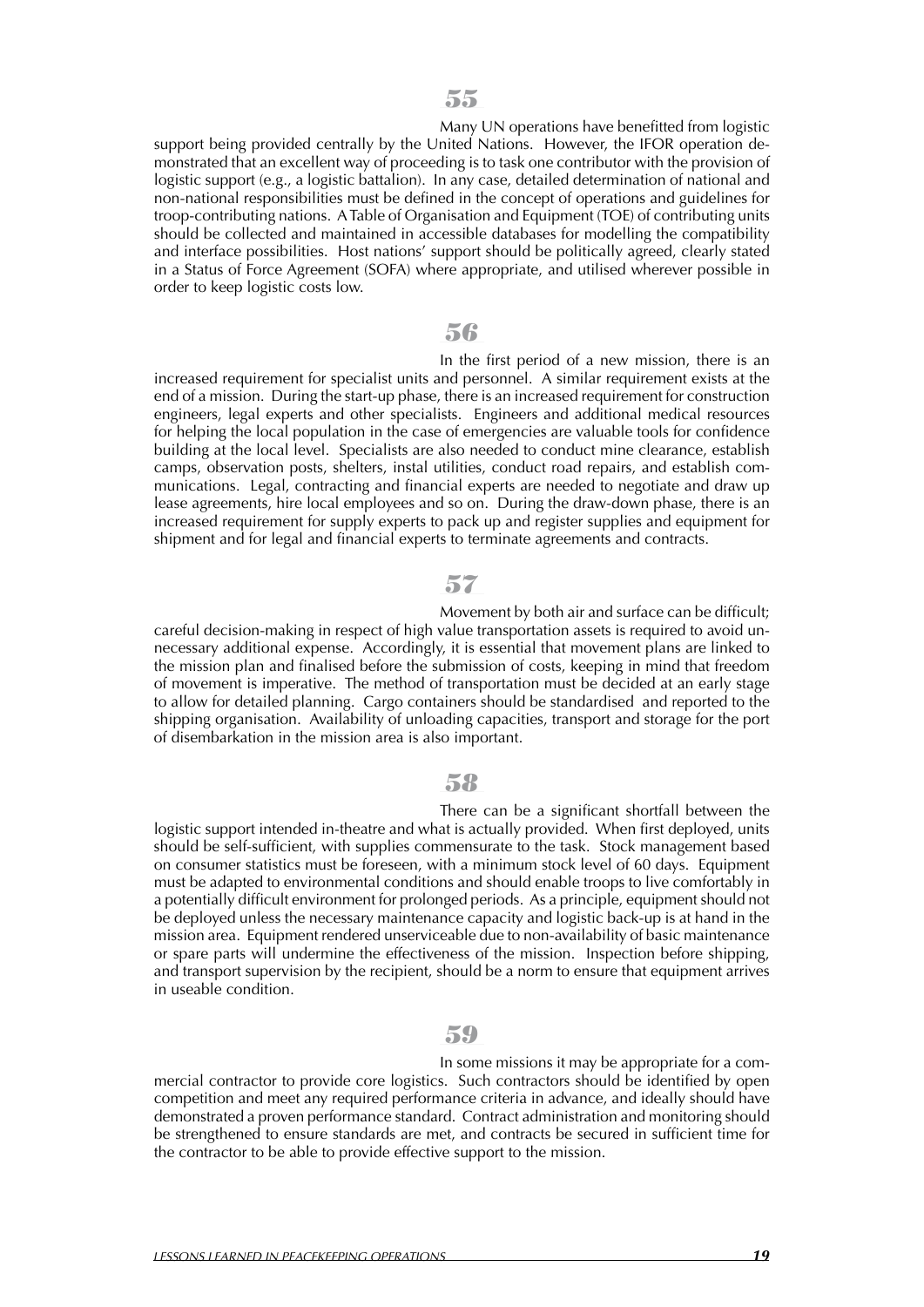Many UN operations have benefitted from logistic support being provided centrally by the United Nations. However, the IFOR operation demonstrated that an excellent way of proceeding is to task one contributor with the provision of logistic support (e.g., a logistic battalion). In any case, detailed determination of national and non-national responsibilities must be defined in the concept of operations and guidelines for troop-contributing nations. ATable of Organisation and Equipment (TOE) of contributing units should be collected and maintained in accessible databases for modelling the compatibility and interface possibilities. Host nations' support should be politically agreed, clearly stated in a Status of Force Agreement (SOFA) where appropriate, and utilised wherever possible in order to keep logistic costs low.

### *56*

In the first period of a new mission, there is an increased requirement for specialist units and personnel. A similar requirement exists at the end of a mission. During the start-up phase, there is an increased requirement for construction engineers, legal experts and other specialists. Engineers and additional medical resources for helping the local population in the case of emergencies are valuable tools for confidence building at the local level. Specialists are also needed to conduct mine clearance, establish camps, observation posts, shelters, instal utilities, conduct road repairs, and establish communications. Legal, contracting and financial experts are needed to negotiate and draw up lease agreements, hire local employees and so on. During the draw-down phase, there is an increased requirement for supply experts to pack up and register supplies and equipment for shipment and for legal and financial experts to terminate agreements and contracts.

### *57*

Movement by both air and surface can be difficult; careful decision-making in respect of high value transportation assets is required to avoid unnecessary additional expense. Accordingly, it is essential that movement plans are linked to the mission plan and finalised before the submission of costs, keeping in mind that freedom of movement is imperative. The method of transportation must be decided at an early stage to allow for detailed planning. Cargo containers should be standardised and reported to the shipping organisation. Availability of unloading capacities, transport and storage for the port of disembarkation in the mission area is also important.

### *58*

There can be a significant shortfall between the logistic support intended in-theatre and what is actually provided. When first deployed, units should be self-sufficient, with supplies commensurate to the task. Stock management based on consumer statistics must be foreseen, with a minimum stock level of 60 days. Equipment must be adapted to environmental conditions and should enable troops to live comfortably in a potentially difficult environment for prolonged periods. As a principle, equipment should not be deployed unless the necessary maintenance capacity and logistic back-up is at hand in the mission area. Equipment rendered unserviceable due to non-availability of basic maintenance or spare parts will undermine the effectiveness of the mission. Inspection before shipping, and transport supervision by the recipient, should be a norm to ensure that equipment arrives in useable condition.

### *59*

In some missions it may be appropriate for a commercial contractor to provide core logistics. Such contractors should be identified by open competition and meet any required performance criteria in advance, and ideally should have demonstrated a proven performance standard. Contract administration and monitoring should be strengthened to ensure standards are met, and contracts be secured in sufficient time for the contractor to be able to provide effective support to the mission.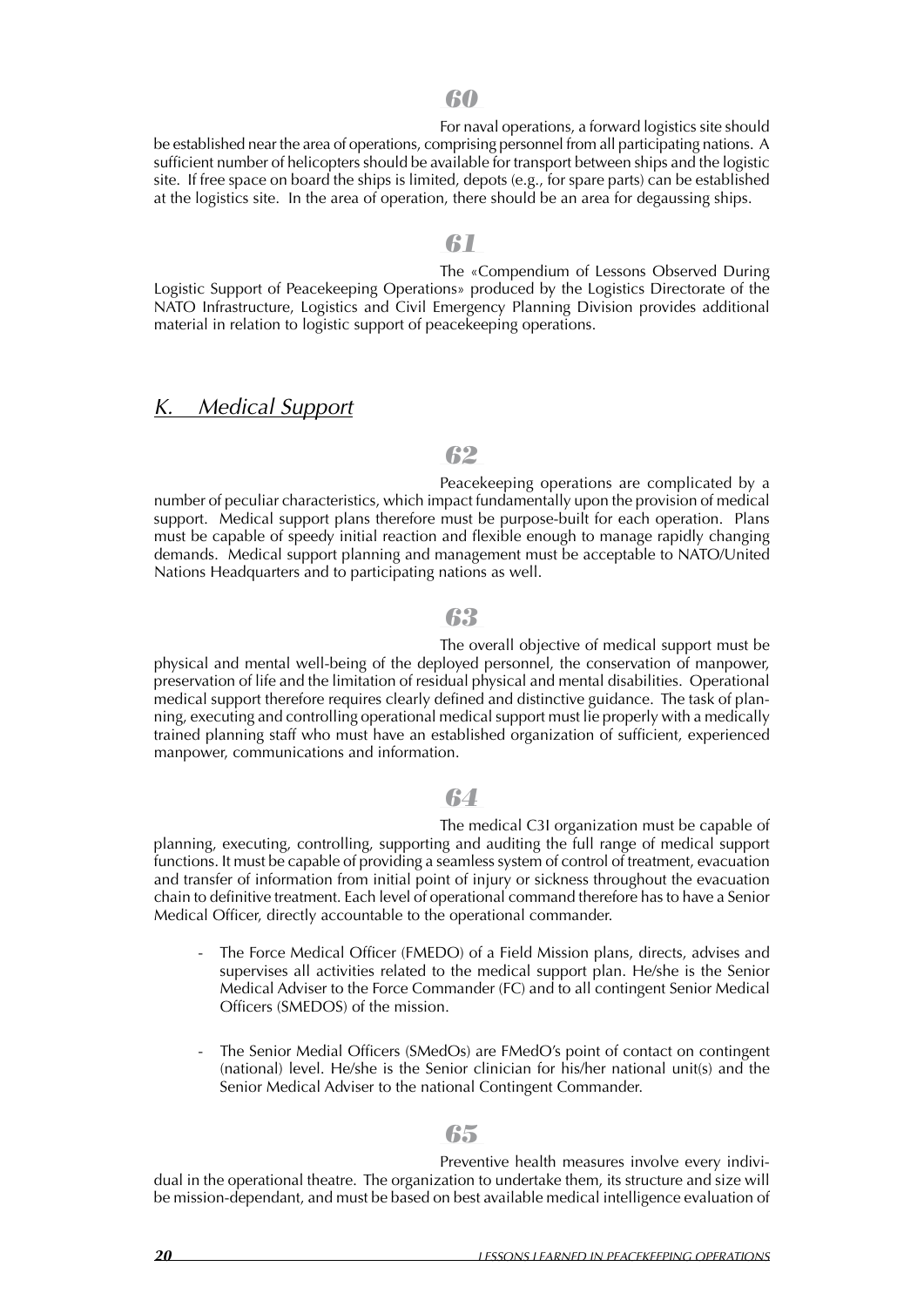For naval operations, a forward logistics site should be established near the area of operations, comprising personnel from all participating nations. A sufficient number of helicopters should be available for transport between ships and the logistic site. If free space on board the ships is limited, depots (e.g., for spare parts) can be established at the logistics site. In the area of operation, there should be an area for degaussing ships.

#### *61*

The «Compendium of Lessons Observed During Logistic Support of Peacekeeping Operations» produced by the Logistics Directorate of the NATO Infrastructure, Logistics and Civil Emergency Planning Division provides additional material in relation to logistic support of peacekeeping operations.

### *K. Medical Support*

### *62*

Peacekeeping operations are complicated by a number of peculiar characteristics, which impact fundamentally upon the provision of medical support. Medical support plans therefore must be purpose-built for each operation. Plans must be capable of speedy initial reaction and flexible enough to manage rapidly changing demands. Medical support planning and management must be acceptable to NATO/United Nations Headquarters and to participating nations as well.

### *63*

The overall objective of medical support must be physical and mental well-being of the deployed personnel, the conservation of manpower, preservation of life and the limitation of residual physical and mental disabilities. Operational medical support therefore requires clearly defined and distinctive guidance. The task of planning, executing and controlling operational medical support must lie properly with a medically trained planning staff who must have an established organization of sufficient, experienced manpower, communications and information.

### *64*

The medical C3I organization must be capable of planning, executing, controlling, supporting and auditing the full range of medical support functions. It must be capable of providing a seamless system of control of treatment, evacuation and transfer of information from initial point of injury or sickness throughout the evacuation chain to definitive treatment. Each level of operational command therefore has to have a Senior Medical Officer, directly accountable to the operational commander.

- The Force Medical Officer (FMEDO) of a Field Mission plans, directs, advises and supervises all activities related to the medical support plan. He/she is the Senior Medical Adviser to the Force Commander (FC) and to all contingent Senior Medical Officers (SMEDOS) of the mission.
- The Senior Medial Officers (SMedOs) are FMedO's point of contact on contingent (national) level. He/she is the Senior clinician for his/her national unit(s) and the Senior Medical Adviser to the national Contingent Commander.

### *65*

Preventive health measures involve every individual in the operational theatre. The organization to undertake them, its structure and size will be mission-dependant, and must be based on best available medical intelligence evaluation of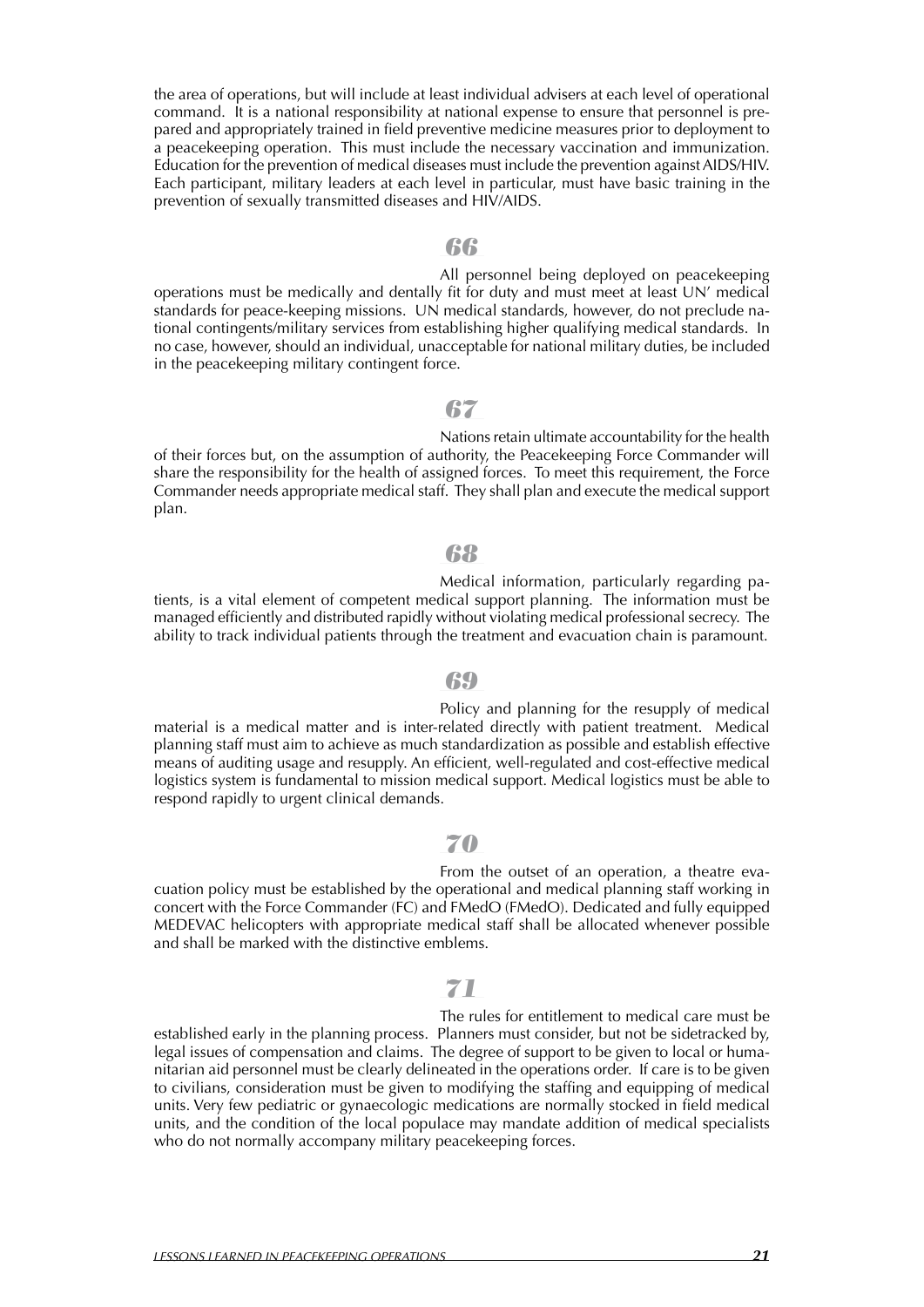the area of operations, but will include at least individual advisers at each level of operational command. It is a national responsibility at national expense to ensure that personnel is prepared and appropriately trained in field preventive medicine measures prior to deployment to a peacekeeping operation. This must include the necessary vaccination and immunization. Education for the prevention of medical diseases must include the prevention againstAIDS/HIV. Each participant, military leaders at each level in particular, must have basic training in the prevention of sexually transmitted diseases and HIV/AIDS.

### *66*

All personnel being deployed on peacekeeping operations must be medically and dentally fit for duty and must meet at least UN' medical standards for peace-keeping missions. UN medical standards, however, do not preclude national contingents/military services from establishing higher qualifying medical standards. In no case, however, should an individual, unacceptable for national military duties, be included in the peacekeeping military contingent force.

### *67*

Nations retain ultimate accountability for the health of their forces but, on the assumption of authority, the Peacekeeping Force Commander will share the responsibility for the health of assigned forces. To meet this requirement, the Force Commander needs appropriate medical staff. They shall plan and execute the medical support plan.

### *68*

Medical information, particularly regarding patients, is a vital element of competent medical support planning. The information must be managed efficiently and distributed rapidly without violating medical professional secrecy. The ability to track individual patients through the treatment and evacuation chain is paramount.

#### *69*

Policy and planning for the resupply of medical material is a medical matter and is inter-related directly with patient treatment. Medical planning staff must aim to achieve as much standardization as possible and establish effective means of auditing usage and resupply. An efficient, well-regulated and cost-effective medical logistics system is fundamental to mission medical support. Medical logistics must be able to respond rapidly to urgent clinical demands.

### *70*

From the outset of an operation, a theatre evacuation policy must be established by the operational and medical planning staff working in concert with the Force Commander (FC) and FMedO (FMedO). Dedicated and fully equipped MEDEVAC helicopters with appropriate medical staff shall be allocated whenever possible and shall be marked with the distinctive emblems.

### *71*

The rules for entitlement to medical care must be established early in the planning process. Planners must consider, but not be sidetracked by, legal issues of compensation and claims. The degree of support to be given to local or humanitarian aid personnel must be clearly delineated in the operations order. If care is to be given to civilians, consideration must be given to modifying the staffing and equipping of medical units. Very few pediatric or gynaecologic medications are normally stocked in field medical units, and the condition of the local populace may mandate addition of medical specialists who do not normally accompany military peacekeeping forces.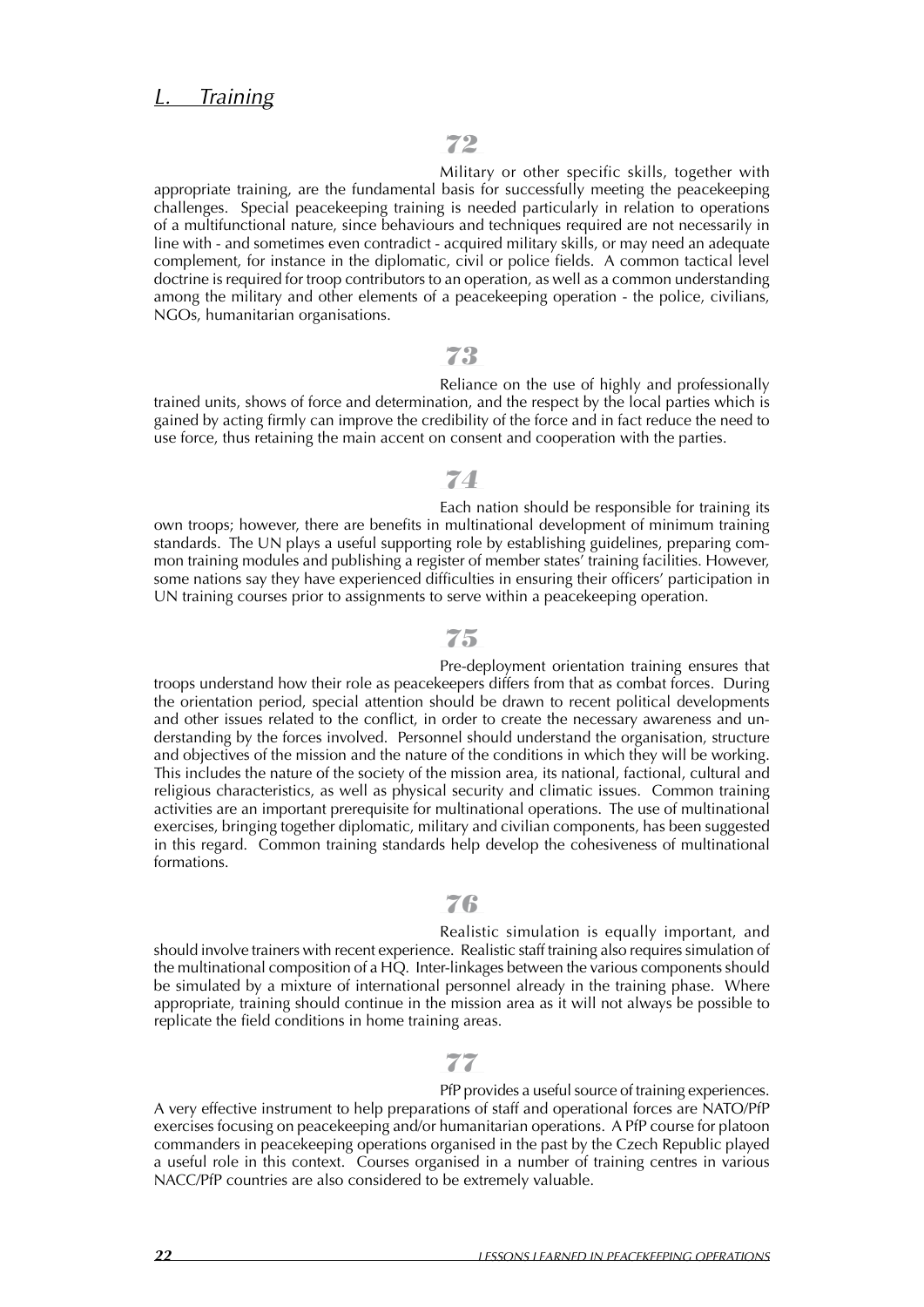Military or other specific skills, together with appropriate training, are the fundamental basis for successfully meeting the peacekeeping challenges. Special peacekeeping training is needed particularly in relation to operations of a multifunctional nature, since behaviours and techniques required are not necessarily in line with - and sometimes even contradict - acquired military skills, or may need an adequate complement, for instance in the diplomatic, civil or police fields. A common tactical level doctrine is required for troop contributors to an operation, as well as a common understanding among the military and other elements of a peacekeeping operation - the police, civilians, NGOs, humanitarian organisations.

#### *73*

Reliance on the use of highly and professionally trained units, shows of force and determination, and the respect by the local parties which is gained by acting firmly can improve the credibility of the force and in fact reduce the need to use force, thus retaining the main accent on consent and cooperation with the parties.

### *74*

Each nation should be responsible for training its own troops; however, there are benefits in multinational development of minimum training standards. The UN plays a useful supporting role by establishing guidelines, preparing common training modules and publishing a register of member states' training facilities. However, some nations say they have experienced difficulties in ensuring their officers' participation in UN training courses prior to assignments to serve within a peacekeeping operation.

### *75*

Pre-deployment orientation training ensures that troops understand how their role as peacekeepers differs from that as combat forces. During the orientation period, special attention should be drawn to recent political developments and other issues related to the conflict, in order to create the necessary awareness and understanding by the forces involved. Personnel should understand the organisation, structure and objectives of the mission and the nature of the conditions in which they will be working. This includes the nature of the society of the mission area, its national, factional, cultural and religious characteristics, as well as physical security and climatic issues. Common training activities are an important prerequisite for multinational operations. The use of multinational exercises, bringing together diplomatic, military and civilian components, has been suggested in this regard. Common training standards help develop the cohesiveness of multinational formations.

### *76*

Realistic simulation is equally important, and should involve trainers with recent experience. Realistic staff training also requires simulation of the multinational composition of a HQ. Inter-linkages between the various components should be simulated by a mixture of international personnel already in the training phase. Where appropriate, training should continue in the mission area as it will not always be possible to replicate the field conditions in home training areas.

### *77*

PfP provides a useful source of training experiences. A very effective instrument to help preparations of staff and operational forces are NATO/PfP exercises focusing on peacekeeping and/or humanitarian operations. A PfP course for platoon commanders in peacekeeping operations organised in the past by the Czech Republic played a useful role in this context. Courses organised in a number of training centres in various NACC/PfP countries are also considered to be extremely valuable.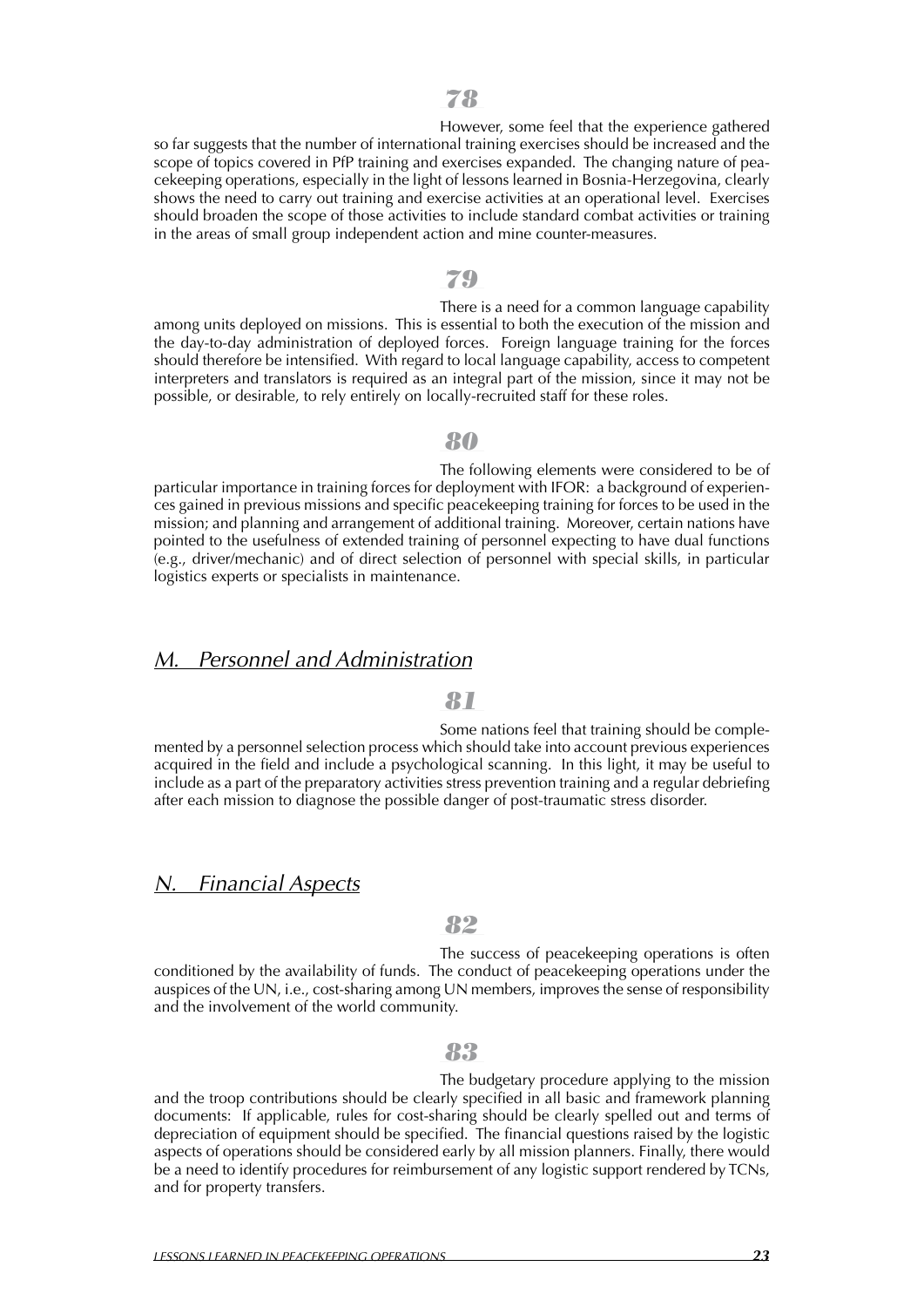However, some feel that the experience gathered so far suggests that the number of international training exercises should be increased and the scope of topics covered in PfP training and exercises expanded. The changing nature of peacekeeping operations, especially in the light of lessons learned in Bosnia-Herzegovina, clearly shows the need to carry out training and exercise activities at an operational level. Exercises should broaden the scope of those activities to include standard combat activities or training in the areas of small group independent action and mine counter-measures.

### *79*

There is a need for a common language capability among units deployed on missions. This is essential to both the execution of the mission and the day-to-day administration of deployed forces. Foreign language training for the forces should therefore be intensified. With regard to local language capability, access to competent interpreters and translators is required as an integral part of the mission, since it may not be possible, or desirable, to rely entirely on locally-recruited staff for these roles.

#### *80*

The following elements were considered to be of particular importance in training forces for deployment with IFOR: a background of experiences gained in previous missions and specific peacekeeping training for forces to be used in the mission; and planning and arrangement of additional training. Moreover, certain nations have pointed to the usefulness of extended training of personnel expecting to have dual functions (e.g., driver/mechanic) and of direct selection of personnel with special skills, in particular logistics experts or specialists in maintenance.

### *M. Personnel and Administration*

#### *81*

Some nations feel that training should be complemented by a personnel selection process which should take into account previous experiences acquired in the field and include a psychological scanning. In this light, it may be useful to include as a part of the preparatory activities stress prevention training and a regular debriefing after each mission to diagnose the possible danger of post-traumatic stress disorder.

### *N. Financial Aspects*

#### *82*

The success of peacekeeping operations is often conditioned by the availability of funds. The conduct of peacekeeping operations under the auspices of the UN, i.e., cost-sharing among UN members, improves the sense of responsibility and the involvement of the world community.

### *83*

The budgetary procedure applying to the mission and the troop contributions should be clearly specified in all basic and framework planning documents: If applicable, rules for cost-sharing should be clearly spelled out and terms of depreciation of equipment should be specified. The financial questions raised by the logistic aspects of operations should be considered early by all mission planners. Finally, there would be a need to identify procedures for reimbursement of any logistic support rendered by TCNs, and for property transfers.